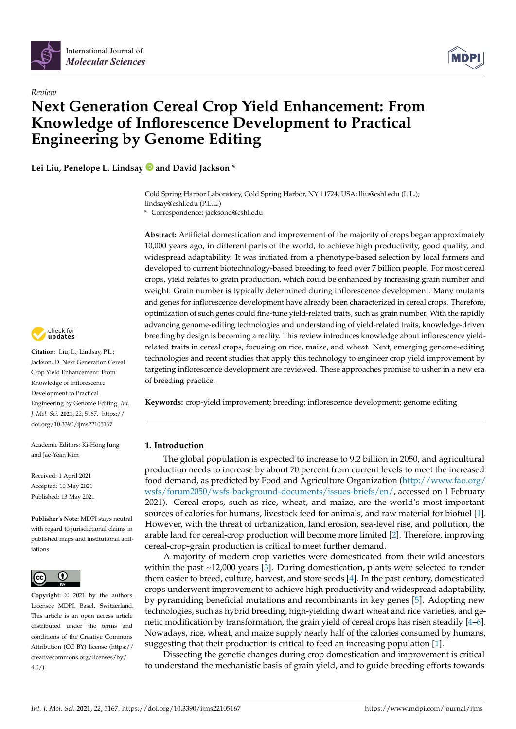



# *Review* **Next Generation Cereal Crop Yield Enhancement: From Knowledge of Inflorescence Development to Practical Engineering by Genome Editing**

**Lei Liu, Penelope L. Lindsay and David Jackson \***

Cold Spring Harbor Laboratory, Cold Spring Harbor, NY 11724, USA; lliu@cshl.edu (L.L.); lindsay@cshl.edu (P.L.L.)

**\*** Correspondence: jacksond@cshl.edu

**Abstract:** Artificial domestication and improvement of the majority of crops began approximately 10,000 years ago, in different parts of the world, to achieve high productivity, good quality, and widespread adaptability. It was initiated from a phenotype-based selection by local farmers and developed to current biotechnology-based breeding to feed over 7 billion people. For most cereal crops, yield relates to grain production, which could be enhanced by increasing grain number and weight. Grain number is typically determined during inflorescence development. Many mutants and genes for inflorescence development have already been characterized in cereal crops. Therefore, optimization of such genes could fine-tune yield-related traits, such as grain number. With the rapidly advancing genome-editing technologies and understanding of yield-related traits, knowledge-driven breeding by design is becoming a reality. This review introduces knowledge about inflorescence yieldrelated traits in cereal crops, focusing on rice, maize, and wheat. Next, emerging genome-editing technologies and recent studies that apply this technology to engineer crop yield improvement by targeting inflorescence development are reviewed. These approaches promise to usher in a new era of breeding practice.

**Keywords:** crop-yield improvement; breeding; inflorescence development; genome editing

#### **1. Introduction**

The global population is expected to increase to 9.2 billion in 2050, and agricultural production needs to increase by about 70 percent from current levels to meet the increased food demand, as predicted by Food and Agriculture Organization [\(http://www.fao.org/](http://www.fao.org/wsfs/forum2050/wsfs-background-documents/issues-briefs/en/) [wsfs/forum2050/wsfs-background-documents/issues-briefs/en/,](http://www.fao.org/wsfs/forum2050/wsfs-background-documents/issues-briefs/en/) accessed on 1 February 2021). Cereal crops, such as rice, wheat, and maize, are the world's most important sources of calories for humans, livestock feed for animals, and raw material for biofuel [\[1\]](#page-11-0). However, with the threat of urbanization, land erosion, sea-level rise, and pollution, the arable land for cereal-crop production will become more limited [\[2\]](#page-11-1). Therefore, improving cereal-crop-grain production is critical to meet further demand.

A majority of modern crop varieties were domesticated from their wild ancestors within the past ~12,000 years [\[3\]](#page-11-2). During domestication, plants were selected to render them easier to breed, culture, harvest, and store seeds [\[4\]](#page-11-3). In the past century, domesticated crops underwent improvement to achieve high productivity and widespread adaptability, by pyramiding beneficial mutations and recombinants in key genes [\[5\]](#page-11-4). Adopting new technologies, such as hybrid breeding, high-yielding dwarf wheat and rice varieties, and genetic modification by transformation, the grain yield of cereal crops has risen steadily [\[4](#page-11-3)[–6\]](#page-11-5). Nowadays, rice, wheat, and maize supply nearly half of the calories consumed by humans, suggesting that their production is critical to feed an increasing population [\[1\]](#page-11-0).

Dissecting the genetic changes during crop domestication and improvement is critical to understand the mechanistic basis of grain yield, and to guide breeding efforts towards



**Citation:** Liu, L.; Lindsay, P.L.; Jackson, D. Next Generation Cereal Crop Yield Enhancement: From Knowledge of Inflorescence Development to Practical Engineering by Genome Editing. *Int. J. Mol. Sci.* **2021**, *22*, 5167. [https://](https://doi.org/10.3390/ijms22105167) [doi.org/10.3390/ijms22105167](https://doi.org/10.3390/ijms22105167)

Academic Editors: Ki-Hong Jung and Jae-Yean Kim

Received: 1 April 2021 Accepted: 10 May 2021 Published: 13 May 2021

**Publisher's Note:** MDPI stays neutral with regard to jurisdictional claims in published maps and institutional affiliations.



**Copyright:** © 2021 by the authors. Licensee MDPI, Basel, Switzerland. This article is an open access article distributed under the terms and conditions of the Creative Commons Attribution (CC BY) license (https:/[/](https://creativecommons.org/licenses/by/4.0/) [creativecommons.org/licenses/by/](https://creativecommons.org/licenses/by/4.0/) 4.0/).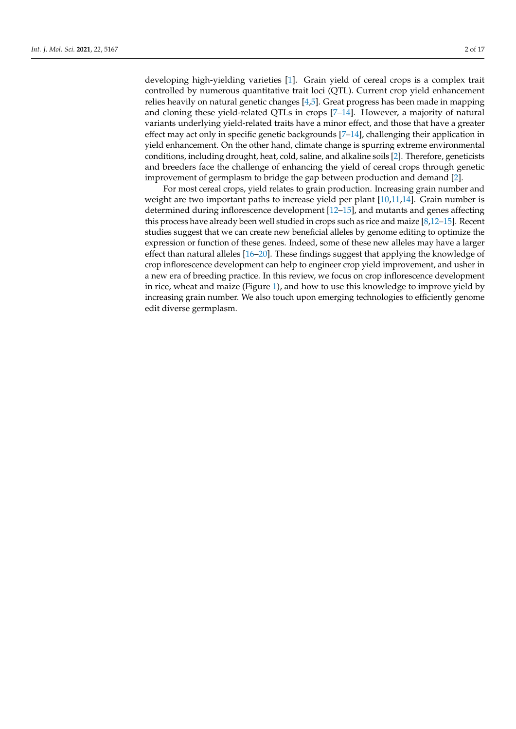developing high-yielding varieties [\[1\]](#page-11-0). Grain yield of cereal crops is a complex trait controlled by numerous quantitative trait loci (QTL). Current crop yield enhancement relies heavily on natural genetic changes [\[4,](#page-11-3)[5\]](#page-11-4). Great progress has been made in mapping and cloning these yield-related QTLs in crops [\[7–](#page-11-6)[14\]](#page-11-7). However, a majority of natural variants underlying yield-related traits have a minor effect, and those that have a greater effect may act only in specific genetic backgrounds [\[7](#page-11-6)[–14\]](#page-11-7), challenging their application in yield enhancement. On the other hand, climate change is spurring extreme environmental conditions, including drought, heat, cold, saline, and alkaline soils [\[2\]](#page-11-1). Therefore, geneticists and breeders face the challenge of enhancing the yield of cereal crops through genetic improvement of germplasm to bridge the gap between production and demand [\[2\]](#page-11-1).

For most cereal crops, yield relates to grain production. Increasing grain number and weight are two important paths to increase yield per plant [\[10,](#page-11-8)[11,](#page-11-9)[14\]](#page-11-7). Grain number is determined during inflorescence development [\[12](#page-11-10)[–15\]](#page-11-11), and mutants and genes affecting this process have already been well studied in crops such as rice and maize [\[8](#page-11-12)[,12–](#page-11-10)[15\]](#page-11-11). Recent studies suggest that we can create new beneficial alleles by genome editing to optimize the expression or function of these genes. Indeed, some of these new alleles may have a larger effect than natural alleles [\[16](#page-11-13)[–20\]](#page-12-0). These findings suggest that applying the knowledge of crop inflorescence development can help to engineer crop yield improvement, and usher in a new era of breeding practice. In this review, we focus on crop inflorescence development in rice, wheat and maize (Figure [1\)](#page-2-0), and how to use this knowledge to improve yield by increasing grain number. We also touch upon emerging technologies to efficiently genome edit diverse germplasm.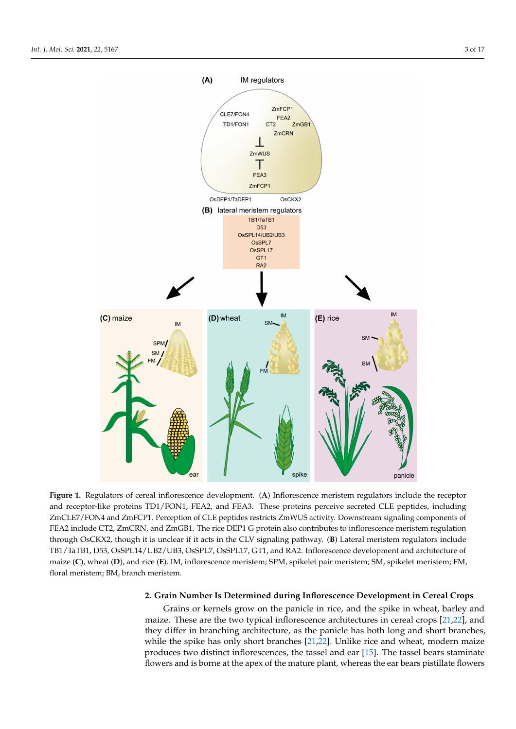<span id="page-2-0"></span>

Figure 1. Regulators of cereal inflorescence development. (A) Inflorescence meristem regulators include the receptor and receptor-like proteins TD1/FON1, FEA2, and FEA3. These proteins perceive secreted CLE peptides, including ZmCLE7/FON4 and ZmFCP1. Perception of CLE peptides restricts ZmWUS activity. Downstream signaling components of FEA2 include CT2, ZmCRN, and ZmGB1. The rice DEP1 G protein also contributes to inflorescence meristem regulation rice Dept. Contributes to inflore the protein also contributes to inflorescence members it is through OsCKX2, though it is unclear if it acts in the CLV signaling pathway. (**B**) Lateral meristem regulators include TB1/TaTB1, D53, OsSPL14/UB2/UB3, OsSPL7, OsSPL17, GT1, and RA2. Inflorescence development and architecture of maize (C), wheat (D), and rice (E). IM, inflorescence meristem; SPM, spikelet pair meristem; SM, spikelet meristem; FM, floral meristem; BM, branch meristem.

# **2. Grain Number Is Determined during Inflorescence Development in Cereal Crops 2. Grain Number Is Determined during Inflorescence Development in Cereal Crops**

Grains or kernels grow on the panicle in rice, and the spike in wheat, barley and maize. These are the two typical inflorescence architectures in cereal crops  $[21,22]$  $[21,22]$ , and they differ in branching architecture, as the panicle has both long and short branches, while the spike has only short branches [\[21](#page-12-1)[,22\]](#page-12-2). Unlike rice and wheat, modern maize produces two distinct inflorescences, the tassel and ear [\[15\]](#page-11-11). The tassel bears staminate flowers and is borne at the apex of the mature plant, whereas the ear bears pistillate flowers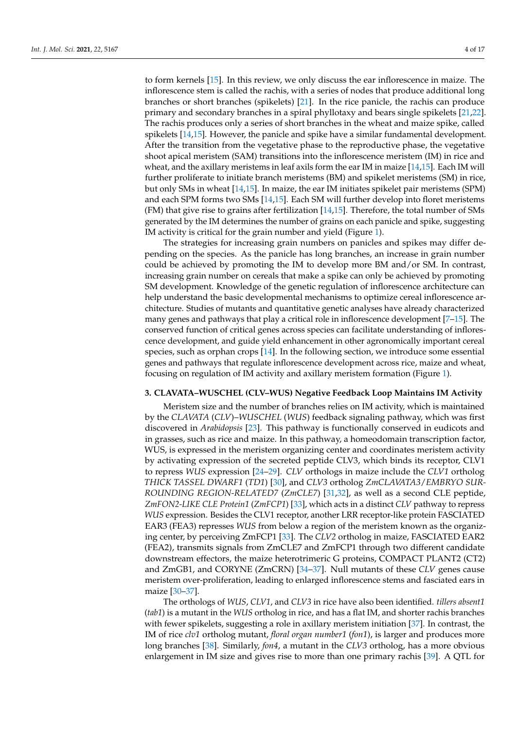to form kernels [\[15\]](#page-11-11). In this review, we only discuss the ear inflorescence in maize. The inflorescence stem is called the rachis, with a series of nodes that produce additional long branches or short branches (spikelets) [\[21\]](#page-12-1). In the rice panicle, the rachis can produce primary and secondary branches in a spiral phyllotaxy and bears single spikelets [\[21,](#page-12-1)[22\]](#page-12-2). The rachis produces only a series of short branches in the wheat and maize spike, called spikelets [\[14,](#page-11-7)[15\]](#page-11-11). However, the panicle and spike have a similar fundamental development. After the transition from the vegetative phase to the reproductive phase, the vegetative shoot apical meristem (SAM) transitions into the inflorescence meristem (IM) in rice and wheat, and the axillary meristems in leaf axils form the ear IM in maize  $[14,15]$  $[14,15]$ . Each IM will further proliferate to initiate branch meristems (BM) and spikelet meristems (SM) in rice, but only SMs in wheat [\[14](#page-11-7)[,15\]](#page-11-11). In maize, the ear IM initiates spikelet pair meristems (SPM) and each SPM forms two SMs [\[14,](#page-11-7)[15\]](#page-11-11). Each SM will further develop into floret meristems (FM) that give rise to grains after fertilization [\[14,](#page-11-7)[15\]](#page-11-11). Therefore, the total number of SMs generated by the IM determines the number of grains on each panicle and spike, suggesting IM activity is critical for the grain number and yield (Figure [1\)](#page-2-0).

The strategies for increasing grain numbers on panicles and spikes may differ depending on the species. As the panicle has long branches, an increase in grain number could be achieved by promoting the IM to develop more BM and/or SM. In contrast, increasing grain number on cereals that make a spike can only be achieved by promoting SM development. Knowledge of the genetic regulation of inflorescence architecture can help understand the basic developmental mechanisms to optimize cereal inflorescence architecture. Studies of mutants and quantitative genetic analyses have already characterized many genes and pathways that play a critical role in inflorescence development  $[7-15]$  $[7-15]$ . The conserved function of critical genes across species can facilitate understanding of inflorescence development, and guide yield enhancement in other agronomically important cereal species, such as orphan crops [\[14\]](#page-11-7). In the following section, we introduce some essential genes and pathways that regulate inflorescence development across rice, maize and wheat, focusing on regulation of IM activity and axillary meristem formation (Figure [1\)](#page-2-0).

#### **3. CLAVATA–WUSCHEL (CLV–WUS) Negative Feedback Loop Maintains IM Activity**

Meristem size and the number of branches relies on IM activity, which is maintained by the *CLAVATA* (*CLV*)–*WUSCHEL* (*WUS*) feedback signaling pathway, which was first discovered in *Arabidopsis* [\[23\]](#page-12-3). This pathway is functionally conserved in eudicots and in grasses, such as rice and maize. In this pathway, a homeodomain transcription factor, WUS, is expressed in the meristem organizing center and coordinates meristem activity by activating expression of the secreted peptide CLV3, which binds its receptor, CLV1 to repress *WUS* expression [\[24–](#page-12-4)[29\]](#page-12-5). *CLV* orthologs in maize include the *CLV1* ortholog *THICK TASSEL DWARF1* (*TD1*) [\[30\]](#page-12-6), and *CLV3* ortholog *ZmCLAVATA3*/*EMBRYO SUR-ROUNDING REGION-RELATED7* (*ZmCLE7*) [\[31,](#page-12-7)[32\]](#page-12-8), as well as a second CLE peptide, *ZmFON2-LIKE CLE Protein1* (*ZmFCP1*) [\[33\]](#page-12-9), which acts in a distinct *CLV* pathway to repress *WUS* expression. Besides the CLV1 receptor, another LRR receptor-like protein FASCIATED EAR3 (FEA3) represses *WUS* from below a region of the meristem known as the organizing center, by perceiving ZmFCP1 [\[33\]](#page-12-9). The *CLV2* ortholog in maize, FASCIATED EAR2 (FEA2), transmits signals from ZmCLE7 and ZmFCP1 through two different candidate downstream effectors, the maize heterotrimeric G proteins, COMPACT PLANT2 (CT2) and ZmGB1, and CORYNE (ZmCRN) [\[34–](#page-12-10)[37\]](#page-12-11). Null mutants of these *CLV* genes cause meristem over-proliferation, leading to enlarged inflorescence stems and fasciated ears in maize [\[30](#page-12-6)[–37\]](#page-12-11).

The orthologs of *WUS*, *CLV1*, and *CLV3* in rice have also been identified. *tillers absent1* (*tab1*) is a mutant in the *WUS* ortholog in rice, and has a flat IM, and shorter rachis branches with fewer spikelets, suggesting a role in axillary meristem initiation [\[37\]](#page-12-11). In contrast, the IM of rice *clv1* ortholog mutant, *floral organ number1* (*fon1*), is larger and produces more long branches [\[38\]](#page-12-12). Similarly, *fon4*, a mutant in the *CLV3* ortholog, has a more obvious enlargement in IM size and gives rise to more than one primary rachis [\[39\]](#page-12-13). A QTL for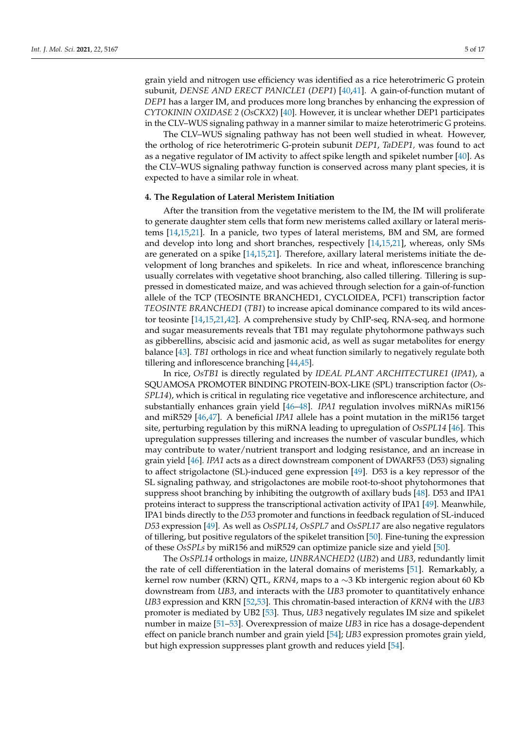grain yield and nitrogen use efficiency was identified as a rice heterotrimeric G protein subunit, *DENSE AND ERECT PANICLE1* (*DEP1*) [\[40](#page-12-14)[,41\]](#page-12-15). A gain-of-function mutant of *DEP1* has a larger IM, and produces more long branches by enhancing the expression of *CYTOKININ OXIDASE 2* (*OsCKX2*) [\[40\]](#page-12-14). However, it is unclear whether DEP1 participates in the CLV–WUS signaling pathway in a manner similar to maize heterotrimeric G proteins.

The CLV–WUS signaling pathway has not been well studied in wheat. However, the ortholog of rice heterotrimeric G-protein subunit *DEP1*, *TaDEP1,* was found to act as a negative regulator of IM activity to affect spike length and spikelet number [\[40\]](#page-12-14). As the CLV–WUS signaling pathway function is conserved across many plant species, it is expected to have a similar role in wheat.

# **4. The Regulation of Lateral Meristem Initiation**

After the transition from the vegetative meristem to the IM, the IM will proliferate to generate daughter stem cells that form new meristems called axillary or lateral meristems [\[14,](#page-11-7)[15,](#page-11-11)[21\]](#page-12-1). In a panicle, two types of lateral meristems, BM and SM, are formed and develop into long and short branches, respectively [\[14](#page-11-7)[,15](#page-11-11)[,21\]](#page-12-1), whereas, only SMs are generated on a spike [\[14](#page-11-7)[,15](#page-11-11)[,21\]](#page-12-1). Therefore, axillary lateral meristems initiate the development of long branches and spikelets. In rice and wheat, inflorescence branching usually correlates with vegetative shoot branching, also called tillering. Tillering is suppressed in domesticated maize, and was achieved through selection for a gain-of-function allele of the TCP (TEOSINTE BRANCHED1, CYCLOIDEA, PCF1) transcription factor *TEOSINTE BRANCHED1* (*TB1*) to increase apical dominance compared to its wild ancestor teosinte [\[14,](#page-11-7)[15,](#page-11-11)[21,](#page-12-1)[42\]](#page-12-16). A comprehensive study by ChIP-seq, RNA-seq, and hormone and sugar measurements reveals that TB1 may regulate phytohormone pathways such as gibberellins, abscisic acid and jasmonic acid, as well as sugar metabolites for energy balance [\[43\]](#page-12-17). *TB1* orthologs in rice and wheat function similarly to negatively regulate both tillering and inflorescence branching [\[44,](#page-12-18)[45\]](#page-13-0).

In rice, *OsTB1* is directly regulated by *IDEAL PLANT ARCHITECTURE1* (*IPA1*), a SQUAMOSA PROMOTER BINDING PROTEIN-BOX-LIKE (SPL) transcription factor (*Os-SPL14*), which is critical in regulating rice vegetative and inflorescence architecture, and substantially enhances grain yield [\[46–](#page-13-1)[48\]](#page-13-2). *IPA1* regulation involves miRNAs miR156 and miR529 [\[46,](#page-13-1)[47\]](#page-13-3). A beneficial *IPA1* allele has a point mutation in the miR156 target site, perturbing regulation by this miRNA leading to upregulation of *OsSPL14* [\[46\]](#page-13-1). This upregulation suppresses tillering and increases the number of vascular bundles, which may contribute to water/nutrient transport and lodging resistance, and an increase in grain yield [\[46\]](#page-13-1). *IPA1* acts as a direct downstream component of DWARF53 (D53) signaling to affect strigolactone (SL)-induced gene expression [\[49\]](#page-13-4). D53 is a key repressor of the SL signaling pathway, and strigolactones are mobile root-to-shoot phytohormones that suppress shoot branching by inhibiting the outgrowth of axillary buds [\[48\]](#page-13-2). D53 and IPA1 proteins interact to suppress the transcriptional activation activity of IPA1 [\[49\]](#page-13-4). Meanwhile, IPA1 binds directly to the *D53* promoter and functions in feedback regulation of SL-induced *D53* expression [\[49\]](#page-13-4). As well as *OsSPL14*, *OsSPL7* and *OsSPL17* are also negative regulators of tillering, but positive regulators of the spikelet transition [\[50\]](#page-13-5). Fine-tuning the expression of these *OsSPLs* by miR156 and miR529 can optimize panicle size and yield [\[50\]](#page-13-5).

The *OsSPL14* orthologs in maize, *UNBRANCHED2* (*UB2*) and *UB3*, redundantly limit the rate of cell differentiation in the lateral domains of meristems [\[51\]](#page-13-6). Remarkably, a kernel row number (KRN) QTL, *KRN4*, maps to a ∼3 Kb intergenic region about 60 Kb downstream from *UB3*, and interacts with the *UB3* promoter to quantitatively enhance *UB3* expression and KRN [\[52,](#page-13-7)[53\]](#page-13-8). This chromatin-based interaction of *KRN4* with the *UB3* promoter is mediated by UB2 [\[53\]](#page-13-8). Thus, *UB3* negatively regulates IM size and spikelet number in maize [\[51–](#page-13-6)[53\]](#page-13-8). Overexpression of maize *UB3* in rice has a dosage-dependent effect on panicle branch number and grain yield [\[54\]](#page-13-9); *UB3* expression promotes grain yield, but high expression suppresses plant growth and reduces yield [\[54\]](#page-13-9).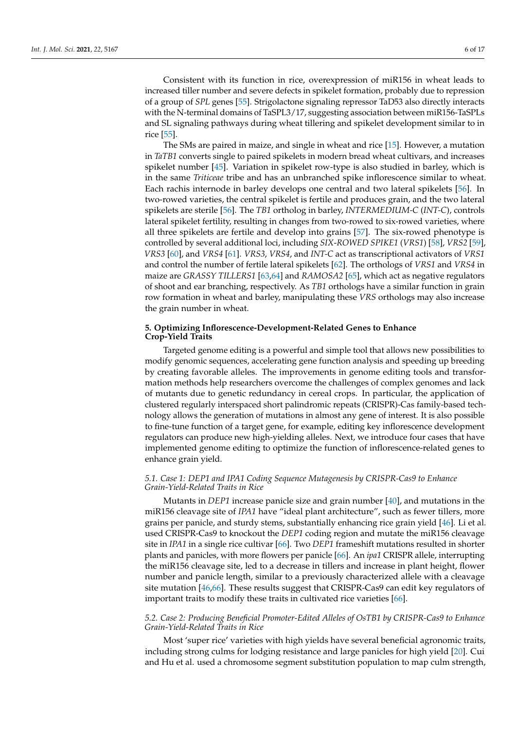Consistent with its function in rice, overexpression of miR156 in wheat leads to increased tiller number and severe defects in spikelet formation, probably due to repression of a group of *SPL* genes [\[55\]](#page-13-10). Strigolactone signaling repressor TaD53 also directly interacts with the N-terminal domains of TaSPL3/17, suggesting association between miR156-TaSPLs and SL signaling pathways during wheat tillering and spikelet development similar to in rice [\[55\]](#page-13-10).

The SMs are paired in maize, and single in wheat and rice [\[15\]](#page-11-11). However, a mutation in *TaTB1* converts single to paired spikelets in modern bread wheat cultivars, and increases spikelet number [\[45\]](#page-13-0). Variation in spikelet row-type is also studied in barley, which is in the same *Triticeae* tribe and has an unbranched spike inflorescence similar to wheat. Each rachis internode in barley develops one central and two lateral spikelets [\[56\]](#page-13-11). In two-rowed varieties, the central spikelet is fertile and produces grain, and the two lateral spikelets are sterile [\[56\]](#page-13-11). The *TB1* ortholog in barley, *INTERMEDIUM-C* (*INT-C*), controls lateral spikelet fertility, resulting in changes from two-rowed to six-rowed varieties, where all three spikelets are fertile and develop into grains [\[57\]](#page-13-12). The six-rowed phenotype is controlled by several additional loci, including *SIX*-*ROWED SPIKE1* (*VRS1*) [\[58\]](#page-13-13), *VRS2* [\[59\]](#page-13-14), *VRS3* [\[60\]](#page-13-15), and *VRS4* [\[61\]](#page-13-16). *VRS3*, *VRS4*, and *INT-C* act as transcriptional activators of *VRS1* and control the number of fertile lateral spikelets [\[62\]](#page-13-17). The orthologs of *VRS1* and *VRS4* in maize are *GRASSY TILLERS1* [\[63](#page-13-18)[,64\]](#page-13-19) and *RAMOSA2* [\[65\]](#page-13-20), which act as negative regulators of shoot and ear branching, respectively. As *TB1* orthologs have a similar function in grain row formation in wheat and barley, manipulating these *VRS* orthologs may also increase the grain number in wheat.

# **5. Optimizing Inflorescence-Development-Related Genes to Enhance Crop-Yield Traits**

Targeted genome editing is a powerful and simple tool that allows new possibilities to modify genomic sequences, accelerating gene function analysis and speeding up breeding by creating favorable alleles. The improvements in genome editing tools and transformation methods help researchers overcome the challenges of complex genomes and lack of mutants due to genetic redundancy in cereal crops. In particular, the application of clustered regularly interspaced short palindromic repeats (CRISPR)-Cas family-based technology allows the generation of mutations in almost any gene of interest. It is also possible to fine-tune function of a target gene, for example, editing key inflorescence development regulators can produce new high-yielding alleles. Next, we introduce four cases that have implemented genome editing to optimize the function of inflorescence-related genes to enhance grain yield.

# *5.1. Case 1: DEP1 and IPA1 Coding Sequence Mutagenesis by CRISPR-Cas9 to Enhance Grain-Yield-Related Traits in Rice*

Mutants in *DEP1* increase panicle size and grain number [\[40\]](#page-12-14), and mutations in the miR156 cleavage site of *IPA1* have "ideal plant architecture", such as fewer tillers, more grains per panicle, and sturdy stems, substantially enhancing rice grain yield [\[46\]](#page-13-1). Li et al. used CRISPR-Cas9 to knockout the *DEP1* coding region and mutate the miR156 cleavage site in *IPA1* in a single rice cultivar [\[66\]](#page-13-21). Two *DEP1* frameshift mutations resulted in shorter plants and panicles, with more flowers per panicle [\[66\]](#page-13-21). An *ipa1* CRISPR allele, interrupting the miR156 cleavage site, led to a decrease in tillers and increase in plant height, flower number and panicle length, similar to a previously characterized allele with a cleavage site mutation [\[46](#page-13-1)[,66\]](#page-13-21). These results suggest that CRISPR-Cas9 can edit key regulators of important traits to modify these traits in cultivated rice varieties [\[66\]](#page-13-21).

### *5.2. Case 2: Producing Beneficial Promoter-Edited Alleles of OsTB1 by CRISPR-Cas9 to Enhance Grain-Yield-Related Traits in Rice*

Most 'super rice' varieties with high yields have several beneficial agronomic traits, including strong culms for lodging resistance and large panicles for high yield [\[20\]](#page-12-0). Cui and Hu et al. used a chromosome segment substitution population to map culm strength,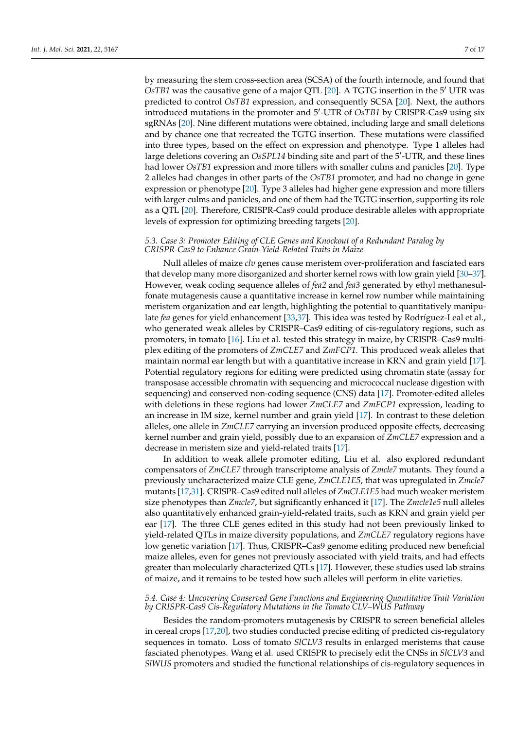by measuring the stem cross-section area (SCSA) of the fourth internode, and found that  $O<sub>S</sub>TB1$  was the causative gene of a major QTL [\[20\]](#page-12-0). A TGTG insertion in the  $5'$  UTR was predicted to control *OsTB1* expression, and consequently SCSA [\[20\]](#page-12-0). Next, the authors introduced mutations in the promoter and 5'-UTR of *OsTB1* by CRISPR-Cas9 using six sgRNAs [\[20\]](#page-12-0). Nine different mutations were obtained, including large and small deletions and by chance one that recreated the TGTG insertion. These mutations were classified into three types, based on the effect on expression and phenotype. Type 1 alleles had large deletions covering an *OsSPL14* binding site and part of the 5'-UTR, and these lines had lower *OsTB1* expression and more tillers with smaller culms and panicles [\[20\]](#page-12-0). Type 2 alleles had changes in other parts of the *OsTB1* promoter, and had no change in gene expression or phenotype [\[20\]](#page-12-0). Type 3 alleles had higher gene expression and more tillers with larger culms and panicles, and one of them had the TGTG insertion, supporting its role as a QTL [\[20\]](#page-12-0). Therefore, CRISPR-Cas9 could produce desirable alleles with appropriate levels of expression for optimizing breeding targets [\[20\]](#page-12-0).

# *5.3. Case 3: Promoter Editing of CLE Genes and Knockout of a Redundant Paralog by CRISPR-Cas9 to Enhance Grain-Yield-Related Traits in Maize*

Null alleles of maize *clv* genes cause meristem over-proliferation and fasciated ears that develop many more disorganized and shorter kernel rows with low grain yield [\[30](#page-12-6)[–37\]](#page-12-11). However, weak coding sequence alleles of *fea2* and *fea3* generated by ethyl methanesulfonate mutagenesis cause a quantitative increase in kernel row number while maintaining meristem organization and ear length, highlighting the potential to quantitatively manipulate *fea* genes for yield enhancement [\[33,](#page-12-9)[37\]](#page-12-11). This idea was tested by Rodríguez-Leal et al., who generated weak alleles by CRISPR–Cas9 editing of cis-regulatory regions, such as promoters, in tomato [\[16\]](#page-11-13). Liu et al. tested this strategy in maize, by CRISPR–Cas9 multiplex editing of the promoters of *ZmCLE7* and *ZmFCP1.* This produced weak alleles that maintain normal ear length but with a quantitative increase in KRN and grain yield [\[17\]](#page-11-14). Potential regulatory regions for editing were predicted using chromatin state (assay for transposase accessible chromatin with sequencing and micrococcal nuclease digestion with sequencing) and conserved non-coding sequence (CNS) data [\[17\]](#page-11-14). Promoter-edited alleles with deletions in these regions had lower *ZmCLE7* and *ZmFCP1* expression, leading to an increase in IM size, kernel number and grain yield [\[17\]](#page-11-14). In contrast to these deletion alleles, one allele in *ZmCLE7* carrying an inversion produced opposite effects, decreasing kernel number and grain yield, possibly due to an expansion of *ZmCLE7* expression and a decrease in meristem size and yield-related traits [\[17\]](#page-11-14).

In addition to weak allele promoter editing, Liu et al. also explored redundant compensators of *ZmCLE7* through transcriptome analysis of *Zmcle7* mutants. They found a previously uncharacterized maize CLE gene, *ZmCLE1E5*, that was upregulated in *Zmcle7* mutants [\[17,](#page-11-14)[31\]](#page-12-7). CRISPR–Cas9 edited null alleles of *ZmCLE1E5* had much weaker meristem size phenotypes than *Zmcle7*, but significantly enhanced it [\[17\]](#page-11-14). The *Zmcle1e5* null alleles also quantitatively enhanced grain-yield-related traits, such as KRN and grain yield per ear [\[17\]](#page-11-14). The three CLE genes edited in this study had not been previously linked to yield-related QTLs in maize diversity populations, and *ZmCLE7* regulatory regions have low genetic variation [\[17\]](#page-11-14). Thus, CRISPR–Cas9 genome editing produced new beneficial maize alleles, even for genes not previously associated with yield traits, and had effects greater than molecularly characterized QTLs [\[17\]](#page-11-14). However, these studies used lab strains of maize, and it remains to be tested how such alleles will perform in elite varieties.

### *5.4. Case 4: Uncovering Conserved Gene Functions and Engineering Quantitative Trait Variation by CRISPR-Cas9 Cis-Regulatory Mutations in the Tomato CLV–WUS Pathway*

Besides the random-promoters mutagenesis by CRISPR to screen beneficial alleles in cereal crops [\[17](#page-11-14)[,20\]](#page-12-0), two studies conducted precise editing of predicted cis-regulatory sequences in tomato. Loss of tomato *SlCLV3* results in enlarged meristems that cause fasciated phenotypes. Wang et al. used CRISPR to precisely edit the CNSs in *SlCLV3* and *SlWUS* promoters and studied the functional relationships of cis-regulatory sequences in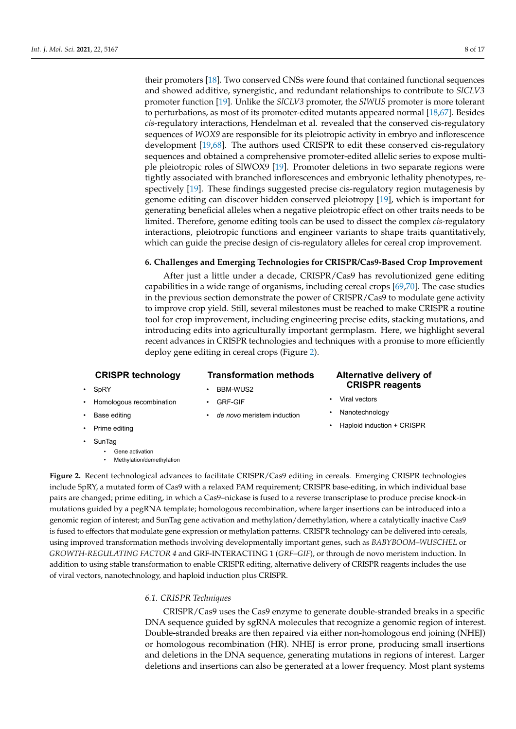their promoters [\[18\]](#page-11-15). Two conserved CNSs were found that contained functional sequences and showed additive, synergistic, and redundant relationships to contribute to *SlCLV3* promoter function [\[19\]](#page-12-19). Unlike the *SlCLV3* promoter, the *SlWUS* promoter is more tolerant to perturbations, as most of its promoter-edited mutants appeared normal [\[18](#page-11-15)[,67\]](#page-13-22). Besides *cis*-regulatory interactions, Hendelman et al. revealed that the conserved cis-regulatory sequences of *WOX9* are responsible for its pleiotropic activity in embryo and inflorescence development [\[19](#page-12-19)[,68\]](#page-13-23). The authors used CRISPR to edit these conserved cis-regulatory sequences and obtained a comprehensive promoter-edited allelic series to expose multiple pleiotropic roles of SlWOX9 [\[19\]](#page-12-19). Promoter deletions in two separate regions were tightly associated with branched inflorescences and embryonic lethality phenotypes, respectively [\[19\]](#page-12-19). These findings suggested precise cis-regulatory region mutagenesis by genome editing can discover hidden conserved pleiotropy [\[19\]](#page-12-19), which is important for generating beneficial alleles when a negative pleiotropic effect on other traits needs to be limited. Therefore, genome editing tools can be used to dissect the complex *cis*-regulatory interactions, pleiotropic functions and engineer variants to shape traits quantitatively, which can guide the precise design of cis-regulatory alleles for cereal crop improvement.

#### **6. Challenges and Emerging Technologies for CRISPR/Cas9-Based Crop Improvement**

After just a little under a decade, CRISPR/Cas9 has revolutionized gene editing capabilities in a wide range of organisms, including cereal crops [\[69,](#page-13-24)[70\]](#page-13-25). The case studies in the previous section demonstrate the power of CRISPR/Cas9 to modulate gene activity to improve crop yield. Still, several milestones must be reached to make CRISPR a routine tool for crop improvement, including engineering precise edits, stacking mutations, and introducing edits into agriculturally important germplasm. Here, we highlight several recent advances in CRISPR technologies and techniques with a promise to more efficiently deploy gene editing in cereal crops (Figure [2\)](#page-7-0).

# **CRISPR technology**

# BBM-WUS2

# **Alternative delivery of CRISPR reagents**

- <span id="page-7-0"></span>• Homologous recombination
- GRF-GIF
- **Base editing**
- Prime editing
- SunTag

**SpRY** 

- Gene activation
- Methylation/demethylation
- *de novo* meristem induction

**Transformation methods**

- Viral vectors
- **Nanotechnology**
- Haploid induction + CRISPR

include SpRY, a mutated form of Cas9 with a relaxed PAM requirement; CRISPR base-editing, in which individual base pairs are changed; prime editing, in which a Cas9-nickase is fused to a reverse transcriptase to produce precise knock-in changed; prime editing, in which a Cas9–nickase is fused to a reverse transcriptate to produce precise knock-in  $\mu$ mutations guided by a pegRNA template; homologous recombination, where larger insertions can be introduced into a genomic region of interest; and SunTag gene activation and methylation/demethylation, where a catalytically inactive Cas9 is fused to effectors that modulate gene expression or methylation patterns. CRISPR technology can be delivered into cereals, proved transformation methods involving developmentally important genes, such as *BABYBOOM–WUSCHEL* or using improved transformation methods involving developmentally important genes, such as *BABYBOOM–WUSCHEL* or GROWTH-REGULATING FACTOR 4 and GRF-INTERACTING 1 (GRF-GIF), or through de novo meristem induction. In addition to using stable transformation to enable CRISPR editing, alternative delivery of CRISPR reagents includes the use viral vectors, nanotechnology, and haploid induction plus CRISPR. of viral vectors, nanotechnology, and haploid induction plus CRISPR. **Figure 2.** Recent technological advances to facilitate CRISPR/Cas9 editing in cereals. Emerging CRISPR technologies

# *6.1. CRISPR Techniques 6.1. CRISPR Techniques*

 $\text{CPTCPR}$  (Case) uses the Case entry to generate double-stranded breaks in a specific double-stranded breaks in a specific double-stranded breaks in a specific double-stranded breaks in a specific double-stranded breaks CRISPR/Cas9 uses the Cas9 enzyme to generate double-stranded breaks in a specific DNA sequence guided by sgRNA molecules that recognize a genomic region of interest.<br>D. 11 or 11 or 11 or 12 or 13 or 14 or 14 or 15 or 15 or 15 or 15 or 15 or 15 or 15 or 15 or 15 or 15 or 15 or Double-stranded breaks are then repaired via either non-homologous end joining (NHEJ) or homologous recombination (HR). NHEJ is error prone, producing small insertions and interest. Larger deletions and  $\overline{N}$ and deletions in the DNA sequence, generating mutations in regions of interest. Larger deletions and insertions can also be generated at a lower frequency. Most plant systems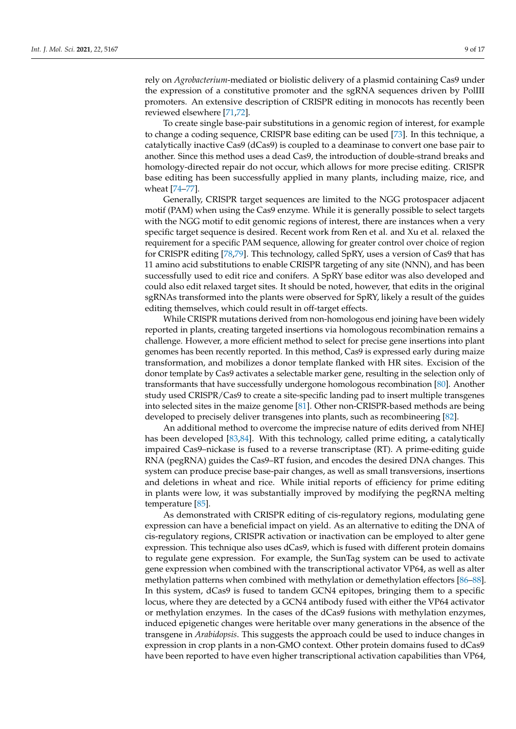rely on *Agrobacterium*-mediated or biolistic delivery of a plasmid containing Cas9 under the expression of a constitutive promoter and the sgRNA sequences driven by PolIII promoters. An extensive description of CRISPR editing in monocots has recently been reviewed elsewhere [\[71,](#page-14-0)[72\]](#page-14-1).

To create single base-pair substitutions in a genomic region of interest, for example to change a coding sequence, CRISPR base editing can be used [\[73\]](#page-14-2). In this technique, a catalytically inactive Cas9 (dCas9) is coupled to a deaminase to convert one base pair to another. Since this method uses a dead Cas9, the introduction of double-strand breaks and homology-directed repair do not occur, which allows for more precise editing. CRISPR base editing has been successfully applied in many plants, including maize, rice, and wheat [\[74–](#page-14-3)[77\]](#page-14-4).

Generally, CRISPR target sequences are limited to the NGG protospacer adjacent motif (PAM) when using the Cas9 enzyme. While it is generally possible to select targets with the NGG motif to edit genomic regions of interest, there are instances when a very specific target sequence is desired. Recent work from Ren et al. and Xu et al. relaxed the requirement for a specific PAM sequence, allowing for greater control over choice of region for CRISPR editing [\[78](#page-14-5)[,79\]](#page-14-6). This technology, called SpRY, uses a version of Cas9 that has 11 amino acid substitutions to enable CRISPR targeting of any site (NNN), and has been successfully used to edit rice and conifers. A SpRY base editor was also developed and could also edit relaxed target sites. It should be noted, however, that edits in the original sgRNAs transformed into the plants were observed for SpRY, likely a result of the guides editing themselves, which could result in off-target effects.

While CRISPR mutations derived from non-homologous end joining have been widely reported in plants, creating targeted insertions via homologous recombination remains a challenge. However, a more efficient method to select for precise gene insertions into plant genomes has been recently reported. In this method, Cas9 is expressed early during maize transformation, and mobilizes a donor template flanked with HR sites. Excision of the donor template by Cas9 activates a selectable marker gene, resulting in the selection only of transformants that have successfully undergone homologous recombination [\[80\]](#page-14-7). Another study used CRISPR/Cas9 to create a site-specific landing pad to insert multiple transgenes into selected sites in the maize genome [\[81\]](#page-14-8). Other non-CRISPR-based methods are being developed to precisely deliver transgenes into plants, such as recombineering [\[82\]](#page-14-9).

An additional method to overcome the imprecise nature of edits derived from NHEJ has been developed [\[83,](#page-14-10)[84\]](#page-14-11). With this technology, called prime editing, a catalytically impaired Cas9–nickase is fused to a reverse transcriptase (RT). A prime-editing guide RNA (pegRNA) guides the Cas9–RT fusion, and encodes the desired DNA changes. This system can produce precise base-pair changes, as well as small transversions, insertions and deletions in wheat and rice. While initial reports of efficiency for prime editing in plants were low, it was substantially improved by modifying the pegRNA melting temperature [\[85\]](#page-14-12).

As demonstrated with CRISPR editing of cis-regulatory regions, modulating gene expression can have a beneficial impact on yield. As an alternative to editing the DNA of cis-regulatory regions, CRISPR activation or inactivation can be employed to alter gene expression. This technique also uses dCas9, which is fused with different protein domains to regulate gene expression. For example, the SunTag system can be used to activate gene expression when combined with the transcriptional activator VP64, as well as alter methylation patterns when combined with methylation or demethylation effectors [\[86](#page-14-13)[–88\]](#page-14-14). In this system, dCas9 is fused to tandem GCN4 epitopes, bringing them to a specific locus, where they are detected by a GCN4 antibody fused with either the VP64 activator or methylation enzymes. In the cases of the dCas9 fusions with methylation enzymes, induced epigenetic changes were heritable over many generations in the absence of the transgene in *Arabidopsis*. This suggests the approach could be used to induce changes in expression in crop plants in a non-GMO context. Other protein domains fused to dCas9 have been reported to have even higher transcriptional activation capabilities than VP64,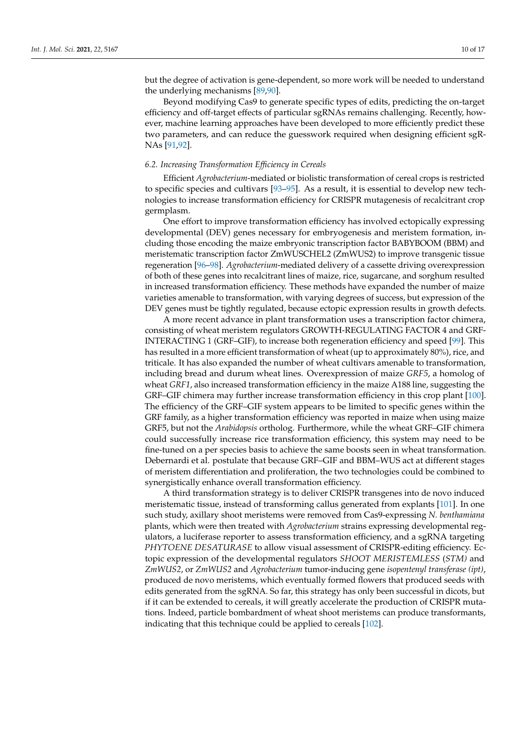but the degree of activation is gene-dependent, so more work will be needed to understand the underlying mechanisms [\[89](#page-14-15)[,90\]](#page-14-16).

Beyond modifying Cas9 to generate specific types of edits, predicting the on-target efficiency and off-target effects of particular sgRNAs remains challenging. Recently, however, machine learning approaches have been developed to more efficiently predict these two parameters, and can reduce the guesswork required when designing efficient sgR-NAs [\[91](#page-14-17)[,92\]](#page-14-18).

#### *6.2. Increasing Transformation Efficiency in Cereals*

Efficient *Agrobacterium*-mediated or biolistic transformation of cereal crops is restricted to specific species and cultivars [\[93–](#page-14-19)[95\]](#page-14-20). As a result, it is essential to develop new technologies to increase transformation efficiency for CRISPR mutagenesis of recalcitrant crop germplasm.

One effort to improve transformation efficiency has involved ectopically expressing developmental (DEV) genes necessary for embryogenesis and meristem formation, including those encoding the maize embryonic transcription factor BABYBOOM (BBM) and meristematic transcription factor ZmWUSCHEL2 (ZmWUS2) to improve transgenic tissue regeneration [\[96–](#page-14-21)[98\]](#page-15-0). *Agrobacterium*-mediated delivery of a cassette driving overexpression of both of these genes into recalcitrant lines of maize, rice, sugarcane, and sorghum resulted in increased transformation efficiency. These methods have expanded the number of maize varieties amenable to transformation, with varying degrees of success, but expression of the DEV genes must be tightly regulated, because ectopic expression results in growth defects.

A more recent advance in plant transformation uses a transcription factor chimera, consisting of wheat meristem regulators GROWTH-REGULATING FACTOR 4 and GRF-INTERACTING 1 (GRF–GIF), to increase both regeneration efficiency and speed [\[99\]](#page-15-1). This has resulted in a more efficient transformation of wheat (up to approximately 80%), rice, and triticale. It has also expanded the number of wheat cultivars amenable to transformation, including bread and durum wheat lines. Overexpression of maize *GRF5*, a homolog of wheat *GRF1*, also increased transformation efficiency in the maize A188 line, suggesting the GRF–GIF chimera may further increase transformation efficiency in this crop plant [\[100\]](#page-15-2). The efficiency of the GRF–GIF system appears to be limited to specific genes within the GRF family, as a higher transformation efficiency was reported in maize when using maize GRF5, but not the *Arabidopsis* ortholog. Furthermore, while the wheat GRF–GIF chimera could successfully increase rice transformation efficiency, this system may need to be fine-tuned on a per species basis to achieve the same boosts seen in wheat transformation. Debernardi et al. postulate that because GRF–GIF and BBM–WUS act at different stages of meristem differentiation and proliferation, the two technologies could be combined to synergistically enhance overall transformation efficiency.

A third transformation strategy is to deliver CRISPR transgenes into de novo induced meristematic tissue, instead of transforming callus generated from explants [\[101\]](#page-15-3). In one such study, axillary shoot meristems were removed from Cas9-expressing *N. benthamiana* plants, which were then treated with *Agrobacterium* strains expressing developmental regulators, a luciferase reporter to assess transformation efficiency, and a sgRNA targeting *PHYTOENE DESATURASE* to allow visual assessment of CRISPR-editing efficiency. Ectopic expression of the developmental regulators *SHOOT MERISTEMLESS* (*STM)* and *ZmWUS2*, or *ZmWUS2* and *Agrobacterium* tumor-inducing gene *isopentenyl transferase (ipt)*, produced de novo meristems, which eventually formed flowers that produced seeds with edits generated from the sgRNA. So far, this strategy has only been successful in dicots, but if it can be extended to cereals, it will greatly accelerate the production of CRISPR mutations. Indeed, particle bombardment of wheat shoot meristems can produce transformants, indicating that this technique could be applied to cereals [\[102\]](#page-15-4).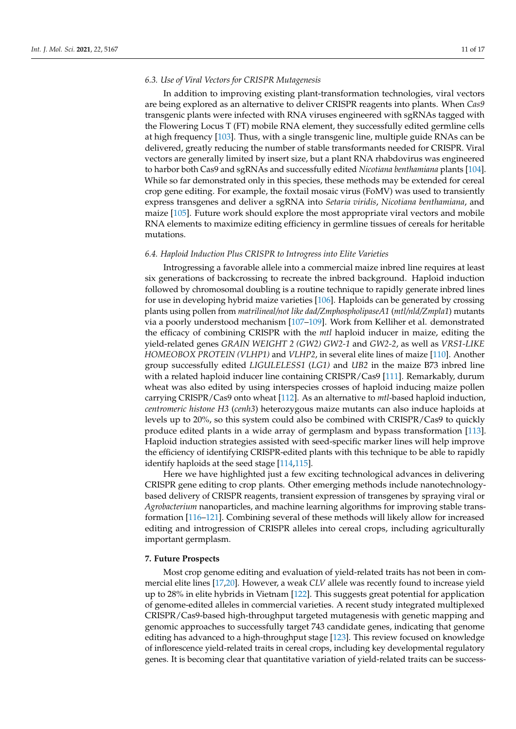#### *6.3. Use of Viral Vectors for CRISPR Mutagenesis*

In addition to improving existing plant-transformation technologies, viral vectors are being explored as an alternative to deliver CRISPR reagents into plants. When *Cas9* transgenic plants were infected with RNA viruses engineered with sgRNAs tagged with the Flowering Locus T (FT) mobile RNA element, they successfully edited germline cells at high frequency [\[103\]](#page-15-5). Thus, with a single transgenic line, multiple guide RNAs can be delivered, greatly reducing the number of stable transformants needed for CRISPR. Viral vectors are generally limited by insert size, but a plant RNA rhabdovirus was engineered to harbor both Cas9 and sgRNAs and successfully edited *Nicotiana benthamiana* plants [\[104\]](#page-15-6). While so far demonstrated only in this species, these methods may be extended for cereal crop gene editing. For example, the foxtail mosaic virus (FoMV) was used to transiently express transgenes and deliver a sgRNA into *Setaria viridis*, *Nicotiana benthamiana*, and maize [\[105\]](#page-15-7). Future work should explore the most appropriate viral vectors and mobile RNA elements to maximize editing efficiency in germline tissues of cereals for heritable mutations.

#### *6.4. Haploid Induction Plus CRISPR to Introgress into Elite Varieties*

Introgressing a favorable allele into a commercial maize inbred line requires at least six generations of backcrossing to recreate the inbred background. Haploid induction followed by chromosomal doubling is a routine technique to rapidly generate inbred lines for use in developing hybrid maize varieties [\[106\]](#page-15-8). Haploids can be generated by crossing plants using pollen from *matrilineal/not like dad/ZmphospholipaseA1* (*mtl/nld/Zmpla1*) mutants via a poorly understood mechanism [\[107](#page-15-9)[–109\]](#page-15-10). Work from Kelliher et al. demonstrated the efficacy of combining CRISPR with the *mtl* haploid inducer in maize, editing the yield-related genes *GRAIN WEIGHT 2 (GW2) GW2-1* and *GW2-2*, as well as *VRS1-LIKE HOMEOBOX PROTEIN (VLHP1)* and *VLHP2*, in several elite lines of maize [\[110\]](#page-15-11). Another group successfully edited *LIGULELESS1* (*LG1)* and *UB2* in the maize B73 inbred line with a related haploid inducer line containing CRISPR/Cas9 [\[111\]](#page-15-12). Remarkably, durum wheat was also edited by using interspecies crosses of haploid inducing maize pollen carrying CRISPR/Cas9 onto wheat [\[112\]](#page-15-13). As an alternative to *mtl*-based haploid induction, *centromeric histone H3* (*cenh3*) heterozygous maize mutants can also induce haploids at levels up to 20%, so this system could also be combined with CRISPR/Cas9 to quickly produce edited plants in a wide array of germplasm and bypass transformation [\[113\]](#page-15-14). Haploid induction strategies assisted with seed-specific marker lines will help improve the efficiency of identifying CRISPR-edited plants with this technique to be able to rapidly identify haploids at the seed stage [\[114,](#page-15-15)[115\]](#page-15-16).

Here we have highlighted just a few exciting technological advances in delivering CRISPR gene editing to crop plants. Other emerging methods include nanotechnologybased delivery of CRISPR reagents, transient expression of transgenes by spraying viral or *Agrobacterium* nanoparticles, and machine learning algorithms for improving stable transformation [\[116–](#page-15-17)[121\]](#page-15-18). Combining several of these methods will likely allow for increased editing and introgression of CRISPR alleles into cereal crops, including agriculturally important germplasm.

#### **7. Future Prospects**

Most crop genome editing and evaluation of yield-related traits has not been in commercial elite lines [\[17](#page-11-14)[,20\]](#page-12-0). However, a weak *CLV* allele was recently found to increase yield up to 28% in elite hybrids in Vietnam [\[122\]](#page-16-0). This suggests great potential for application of genome-edited alleles in commercial varieties. A recent study integrated multiplexed CRISPR/Cas9-based high-throughput targeted mutagenesis with genetic mapping and genomic approaches to successfully target 743 candidate genes, indicating that genome editing has advanced to a high-throughput stage [\[123\]](#page-16-1). This review focused on knowledge of inflorescence yield-related traits in cereal crops, including key developmental regulatory genes. It is becoming clear that quantitative variation of yield-related traits can be success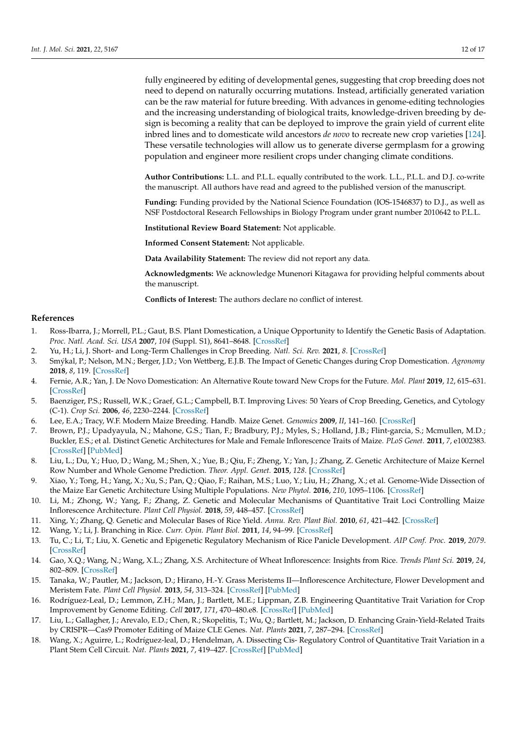fully engineered by editing of developmental genes, suggesting that crop breeding does not need to depend on naturally occurring mutations. Instead, artificially generated variation can be the raw material for future breeding. With advances in genome-editing technologies and the increasing understanding of biological traits, knowledge-driven breeding by design is becoming a reality that can be deployed to improve the grain yield of current elite inbred lines and to domesticate wild ancestors *de novo* to recreate new crop varieties [\[124\]](#page-16-2). These versatile technologies will allow us to generate diverse germplasm for a growing population and engineer more resilient crops under changing climate conditions.

**Author Contributions:** L.L. and P.L.L. equally contributed to the work. L.L., P.L.L. and D.J. co-write the manuscript. All authors have read and agreed to the published version of the manuscript.

**Funding:** Funding provided by the National Science Foundation (IOS-1546837) to D.J., as well as NSF Postdoctoral Research Fellowships in Biology Program under grant number 2010642 to P.L.L.

**Institutional Review Board Statement:** Not applicable.

**Informed Consent Statement:** Not applicable.

**Data Availability Statement:** The review did not report any data.

**Acknowledgments:** We acknowledge Munenori Kitagawa for providing helpful comments about the manuscript.

**Conflicts of Interest:** The authors declare no conflict of interest.

#### **References**

- <span id="page-11-0"></span>1. Ross-Ibarra, J.; Morrell, P.L.; Gaut, B.S. Plant Domestication, a Unique Opportunity to Identify the Genetic Basis of Adaptation. *Proc. Natl. Acad. Sci. USA* **2007**, *104* (Suppl. S1), 8641–8648. [\[CrossRef\]](http://doi.org/10.1073/pnas.0700643104)
- <span id="page-11-1"></span>2. Yu, H.; Li, J. Short- and Long-Term Challenges in Crop Breeding. *Natl. Sci. Rev.* **2021**, *8*. [\[CrossRef\]](http://doi.org/10.1093/nsr/nwab002)
- <span id="page-11-2"></span>3. Smýkal, P.; Nelson, M.N.; Berger, J.D.; Von Wettberg, E.J.B. The Impact of Genetic Changes during Crop Domestication. *Agronomy* **2018**, *8*, 119. [\[CrossRef\]](http://doi.org/10.3390/agronomy8070119)
- <span id="page-11-3"></span>4. Fernie, A.R.; Yan, J. De Novo Domestication: An Alternative Route toward New Crops for the Future. *Mol. Plant* **2019**, *12*, 615–631. [\[CrossRef\]](http://doi.org/10.1016/j.molp.2019.03.016)
- <span id="page-11-4"></span>5. Baenziger, P.S.; Russell, W.K.; Graef, G.L.; Campbell, B.T. Improving Lives: 50 Years of Crop Breeding, Genetics, and Cytology (C-1). *Crop Sci.* **2006**, *46*, 2230–2244. [\[CrossRef\]](http://doi.org/10.2135/cropsci2005.11.0404gas)
- <span id="page-11-5"></span>6. Lee, E.A.; Tracy, W.F. Modern Maize Breeding. Handb. Maize Genet. *Genomics* **2009**, *II*, 141–160. [\[CrossRef\]](http://doi.org/10.1007/978-0-387-77863-1_7)
- <span id="page-11-6"></span>7. Brown, P.J.; Upadyayula, N.; Mahone, G.S.; Tian, F.; Bradbury, P.J.; Myles, S.; Holland, J.B.; Flint-garcia, S.; Mcmullen, M.D.; Buckler, E.S.; et al. Distinct Genetic Architectures for Male and Female Inflorescence Traits of Maize. *PLoS Genet.* **2011**, *7*, e1002383. [\[CrossRef\]](http://doi.org/10.1371/journal.pgen.1002383) [\[PubMed\]](http://www.ncbi.nlm.nih.gov/pubmed/22125498)
- <span id="page-11-12"></span>8. Liu, L.; Du, Y.; Huo, D.; Wang, M.; Shen, X.; Yue, B.; Qiu, F.; Zheng, Y.; Yan, J.; Zhang, Z. Genetic Architecture of Maize Kernel Row Number and Whole Genome Prediction. *Theor. Appl. Genet.* **2015**, *128*. [\[CrossRef\]](http://doi.org/10.1007/s00122-015-2581-2)
- 9. Xiao, Y.; Tong, H.; Yang, X.; Xu, S.; Pan, Q.; Qiao, F.; Raihan, M.S.; Luo, Y.; Liu, H.; Zhang, X.; et al. Genome-Wide Dissection of the Maize Ear Genetic Architecture Using Multiple Populations. *New Phytol.* **2016**, *210*, 1095–1106. [\[CrossRef\]](http://doi.org/10.1111/nph.13814)
- <span id="page-11-8"></span>10. Li, M.; Zhong, W.; Yang, F.; Zhang, Z. Genetic and Molecular Mechanisms of Quantitative Trait Loci Controlling Maize Inflorescence Architecture. *Plant Cell Physiol.* **2018**, *59*, 448–457. [\[CrossRef\]](http://doi.org/10.1093/pcp/pcy022)
- <span id="page-11-9"></span>11. Xing, Y.; Zhang, Q. Genetic and Molecular Bases of Rice Yield. *Annu. Rev. Plant Biol.* **2010**, *61*, 421–442. [\[CrossRef\]](http://doi.org/10.1146/annurev-arplant-042809-112209)
- <span id="page-11-10"></span>12. Wang, Y.; Li, J. Branching in Rice. *Curr. Opin. Plant Biol.* **2011**, *14*, 94–99. [\[CrossRef\]](http://doi.org/10.1016/j.pbi.2010.11.002)
- 13. Tu, C.; Li, T.; Liu, X. Genetic and Epigenetic Regulatory Mechanism of Rice Panicle Development. *AIP Conf. Proc.* **2019**, *2079*. [\[CrossRef\]](http://doi.org/10.1063/1.5092379)
- <span id="page-11-7"></span>14. Gao, X.Q.; Wang, N.; Wang, X.L.; Zhang, X.S. Architecture of Wheat Inflorescence: Insights from Rice. *Trends Plant Sci.* **2019**, *24*, 802–809. [\[CrossRef\]](http://doi.org/10.1016/j.tplants.2019.06.002)
- <span id="page-11-11"></span>15. Tanaka, W.; Pautler, M.; Jackson, D.; Hirano, H.-Y. Grass Meristems II—Inflorescence Architecture, Flower Development and Meristem Fate. *Plant Cell Physiol.* **2013**, *54*, 313–324. [\[CrossRef\]](http://doi.org/10.1093/pcp/pct016) [\[PubMed\]](http://www.ncbi.nlm.nih.gov/pubmed/23378448)
- <span id="page-11-13"></span>16. Rodríguez-Leal, D.; Lemmon, Z.H.; Man, J.; Bartlett, M.E.; Lippman, Z.B. Engineering Quantitative Trait Variation for Crop Improvement by Genome Editing. *Cell* **2017**, *171*, 470–480.e8. [\[CrossRef\]](http://doi.org/10.1016/j.cell.2017.08.030) [\[PubMed\]](http://www.ncbi.nlm.nih.gov/pubmed/28919077)
- <span id="page-11-14"></span>17. Liu, L.; Gallagher, J.; Arevalo, E.D.; Chen, R.; Skopelitis, T.; Wu, Q.; Bartlett, M.; Jackson, D. Enhancing Grain-Yield-Related Traits by CRISPR—Cas9 Promoter Editing of Maize CLE Genes. *Nat. Plants* **2021**, *7*, 287–294. [\[CrossRef\]](http://doi.org/10.1038/s41477-021-00858-5)
- <span id="page-11-15"></span>18. Wang, X.; Aguirre, L.; Rodríguez-leal, D.; Hendelman, A. Dissecting Cis- Regulatory Control of Quantitative Trait Variation in a Plant Stem Cell Circuit. *Nat. Plants* **2021**, *7*, 419–427. [\[CrossRef\]](http://doi.org/10.1038/s41477-021-00898-x) [\[PubMed\]](http://www.ncbi.nlm.nih.gov/pubmed/33846596)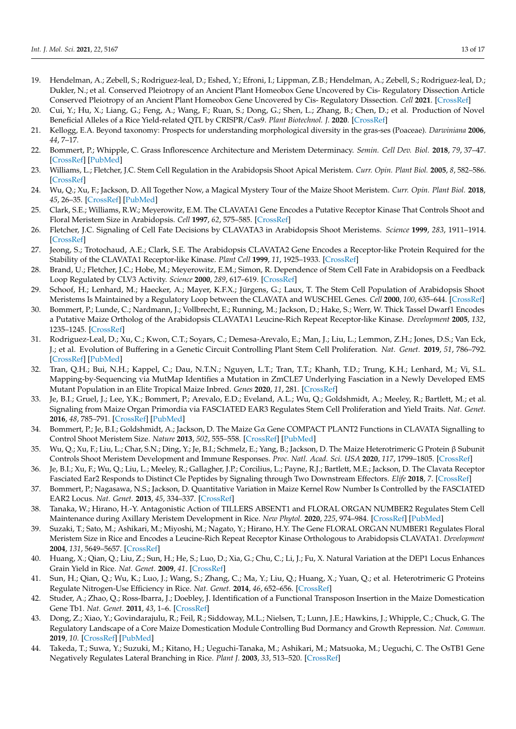- <span id="page-12-19"></span>19. Hendelman, A.; Zebell, S.; Rodriguez-leal, D.; Eshed, Y.; Efroni, I.; Lippman, Z.B.; Hendelman, A.; Zebell, S.; Rodriguez-leal, D.; Dukler, N.; et al. Conserved Pleiotropy of an Ancient Plant Homeobox Gene Uncovered by Cis- Regulatory Dissection Article Conserved Pleiotropy of an Ancient Plant Homeobox Gene Uncovered by Cis- Regulatory Dissection. *Cell* **2021**. [\[CrossRef\]](http://doi.org/10.1016/j.cell.2021.02.001)
- <span id="page-12-0"></span>20. Cui, Y.; Hu, X.; Liang, G.; Feng, A.; Wang, F.; Ruan, S.; Dong, G.; Shen, L.; Zhang, B.; Chen, D.; et al. Production of Novel Beneficial Alleles of a Rice Yield-related QTL by CRISPR/Cas9. *Plant Biotechnol. J.* **2020**. [\[CrossRef\]](http://doi.org/10.1111/pbi.13370)
- <span id="page-12-1"></span>21. Kellogg, E.A. Beyond taxonomy: Prospects for understanding morphological diversity in the gras-ses (Poaceae). *Darwiniana* **2006**, *44*, 7–17.
- <span id="page-12-2"></span>22. Bommert, P.; Whipple, C. Grass Inflorescence Architecture and Meristem Determinacy. *Semin. Cell Dev. Biol.* **2018**, *79*, 37–47. [\[CrossRef\]](http://doi.org/10.1016/j.semcdb.2017.10.004) [\[PubMed\]](http://www.ncbi.nlm.nih.gov/pubmed/29020602)
- <span id="page-12-3"></span>23. Williams, L.; Fletcher, J.C. Stem Cell Regulation in the Arabidopsis Shoot Apical Meristem. *Curr. Opin. Plant Biol.* **2005**, *8*, 582–586. [\[CrossRef\]](http://doi.org/10.1016/j.pbi.2005.09.010)
- <span id="page-12-4"></span>24. Wu, Q.; Xu, F.; Jackson, D. All Together Now, a Magical Mystery Tour of the Maize Shoot Meristem. *Curr. Opin. Plant Biol.* **2018**, *45*, 26–35. [\[CrossRef\]](http://doi.org/10.1016/j.pbi.2018.04.010) [\[PubMed\]](http://www.ncbi.nlm.nih.gov/pubmed/29778985)
- 25. Clark, S.E.; Williams, R.W.; Meyerowitz, E.M. The CLAVATA1 Gene Encodes a Putative Receptor Kinase That Controls Shoot and Floral Meristem Size in Arabidopsis. *Cell* **1997**, *62*, 575–585. [\[CrossRef\]](http://doi.org/10.1016/S0092-8674(00)80239-1)
- 26. Fletcher, J.C. Signaling of Cell Fate Decisions by CLAVATA3 in Arabidopsis Shoot Meristems. *Science* **1999**, *283*, 1911–1914. [\[CrossRef\]](http://doi.org/10.1126/science.283.5409.1911)
- 27. Jeong, S.; Trotochaud, A.E.; Clark, S.E. The Arabidopsis CLAVATA2 Gene Encodes a Receptor-like Protein Required for the Stability of the CLAVATA1 Receptor-like Kinase. *Plant Cell* **1999**, *11*, 1925–1933. [\[CrossRef\]](http://doi.org/10.1105/tpc.11.10.1925)
- 28. Brand, U.; Fletcher, J.C.; Hobe, M.; Meyerowitz, E.M.; Simon, R. Dependence of Stem Cell Fate in Arabidopsis on a Feedback Loop Regulated by CLV3 Activity. *Science* **2000**, *289*, 617–619. [\[CrossRef\]](http://doi.org/10.1126/science.289.5479.617)
- <span id="page-12-5"></span>29. Schoof, H.; Lenhard, M.; Haecker, A.; Mayer, K.F.X.; Jürgens, G.; Laux, T. The Stem Cell Population of Arabidopsis Shoot Meristems Is Maintained by a Regulatory Loop between the CLAVATA and WUSCHEL Genes. *Cell* **2000**, *100*, 635–644. [\[CrossRef\]](http://doi.org/10.1016/S0092-8674(00)80700-X)
- <span id="page-12-6"></span>30. Bommert, P.; Lunde, C.; Nardmann, J.; Vollbrecht, E.; Running, M.; Jackson, D.; Hake, S.; Werr, W. Thick Tassel Dwarf1 Encodes a Putative Maize Ortholog of the Arabidopsis CLAVATA1 Leucine-Rich Repeat Receptor-like Kinase. *Development* **2005**, *132*, 1235–1245. [\[CrossRef\]](http://doi.org/10.1242/dev.01671)
- <span id="page-12-7"></span>31. Rodriguez-Leal, D.; Xu, C.; Kwon, C.T.; Soyars, C.; Demesa-Arevalo, E.; Man, J.; Liu, L.; Lemmon, Z.H.; Jones, D.S.; Van Eck, J.; et al. Evolution of Buffering in a Genetic Circuit Controlling Plant Stem Cell Proliferation. *Nat. Genet.* **2019**, *51*, 786–792. [\[CrossRef\]](http://doi.org/10.1038/s41588-019-0389-8) [\[PubMed\]](http://www.ncbi.nlm.nih.gov/pubmed/30988512)
- <span id="page-12-8"></span>32. Tran, Q.H.; Bui, N.H.; Kappel, C.; Dau, N.T.N.; Nguyen, L.T.; Tran, T.T.; Khanh, T.D.; Trung, K.H.; Lenhard, M.; Vi, S.L. Mapping-by-Sequencing via MutMap Identifies a Mutation in ZmCLE7 Underlying Fasciation in a Newly Developed EMS Mutant Population in an Elite Tropical Maize Inbred. *Genes* **2020**, *11*, 281. [\[CrossRef\]](http://doi.org/10.3390/genes11030281)
- <span id="page-12-9"></span>33. Je, B.I.; Gruel, J.; Lee, Y.K.; Bommert, P.; Arevalo, E.D.; Eveland, A.L.; Wu, Q.; Goldshmidt, A.; Meeley, R.; Bartlett, M.; et al. Signaling from Maize Organ Primordia via FASCIATED EAR3 Regulates Stem Cell Proliferation and Yield Traits. *Nat. Genet.* **2016**, *48*, 785–791. [\[CrossRef\]](http://doi.org/10.1038/ng.3567) [\[PubMed\]](http://www.ncbi.nlm.nih.gov/pubmed/27182966)
- <span id="page-12-10"></span>34. Bommert, P.; Je, B.I.; Goldshmidt, A.; Jackson, D. The Maize Gα Gene COMPACT PLANT2 Functions in CLAVATA Signalling to Control Shoot Meristem Size. *Nature* **2013**, *502*, 555–558. [\[CrossRef\]](http://doi.org/10.1038/nature12583) [\[PubMed\]](http://www.ncbi.nlm.nih.gov/pubmed/24025774)
- 35. Wu, Q.; Xu, F.; Liu, L.; Char, S.N.; Ding, Y.; Je, B.I.; Schmelz, E.; Yang, B.; Jackson, D. The Maize Heterotrimeric G Protein β Subunit Controls Shoot Meristem Development and Immune Responses. *Proc. Natl. Acad. Sci. USA* **2020**, *117*, 1799–1805. [\[CrossRef\]](http://doi.org/10.1073/pnas.1917577116)
- 36. Je, B.I.; Xu, F.; Wu, Q.; Liu, L.; Meeley, R.; Gallagher, J.P.; Corcilius, L.; Payne, R.J.; Bartlett, M.E.; Jackson, D. The Clavata Receptor Fasciated Ear2 Responds to Distinct Cle Peptides by Signaling through Two Downstream Effectors. *Elife* **2018**, *7*. [\[CrossRef\]](http://doi.org/10.7554/eLife.35673)
- <span id="page-12-11"></span>37. Bommert, P.; Nagasawa, N.S.; Jackson, D. Quantitative Variation in Maize Kernel Row Number Is Controlled by the FASCIATED EAR2 Locus. *Nat. Genet.* **2013**, *45*, 334–337. [\[CrossRef\]](http://doi.org/10.1038/ng.2534)
- <span id="page-12-12"></span>38. Tanaka, W.; Hirano, H.-Y. Antagonistic Action of TILLERS ABSENT1 and FLORAL ORGAN NUMBER2 Regulates Stem Cell Maintenance during Axillary Meristem Development in Rice. *New Phytol.* **2020**, *225*, 974–984. [\[CrossRef\]](http://doi.org/10.1111/nph.16163) [\[PubMed\]](http://www.ncbi.nlm.nih.gov/pubmed/31486529)
- <span id="page-12-13"></span>39. Suzaki, T.; Sato, M.; Ashikari, M.; Miyoshi, M.; Nagato, Y.; Hirano, H.Y. The Gene FLORAL ORGAN NUMBER1 Regulates Floral Meristem Size in Rice and Encodes a Leucine-Rich Repeat Receptor Kinase Orthologous to Arabidopsis CLAVATA1. *Development* **2004**, *131*, 5649–5657. [\[CrossRef\]](http://doi.org/10.1242/dev.01441)
- <span id="page-12-14"></span>40. Huang, X.; Qian, Q.; Liu, Z.; Sun, H.; He, S.; Luo, D.; Xia, G.; Chu, C.; Li, J.; Fu, X. Natural Variation at the DEP1 Locus Enhances Grain Yield in Rice. *Nat. Genet.* **2009**, *41*. [\[CrossRef\]](http://doi.org/10.1038/ng.352)
- <span id="page-12-15"></span>41. Sun, H.; Qian, Q.; Wu, K.; Luo, J.; Wang, S.; Zhang, C.; Ma, Y.; Liu, Q.; Huang, X.; Yuan, Q.; et al. Heterotrimeric G Proteins Regulate Nitrogen-Use Efficiency in Rice. *Nat. Genet.* **2014**, *46*, 652–656. [\[CrossRef\]](http://doi.org/10.1038/ng.2958)
- <span id="page-12-16"></span>42. Studer, A.; Zhao, Q.; Ross-Ibarra, J.; Doebley, J. Identification of a Functional Transposon Insertion in the Maize Domestication Gene Tb1. *Nat. Genet.* **2011**, *43*, 1–6. [\[CrossRef\]](http://doi.org/10.1038/ng.942)
- <span id="page-12-17"></span>43. Dong, Z.; Xiao, Y.; Govindarajulu, R.; Feil, R.; Siddoway, M.L.; Nielsen, T.; Lunn, J.E.; Hawkins, J.; Whipple, C.; Chuck, G. The Regulatory Landscape of a Core Maize Domestication Module Controlling Bud Dormancy and Growth Repression. *Nat. Commun.* **2019**, *10*. [\[CrossRef\]](http://doi.org/10.1038/s41467-019-11774-w) [\[PubMed\]](http://www.ncbi.nlm.nih.gov/pubmed/31444327)
- <span id="page-12-18"></span>44. Takeda, T.; Suwa, Y.; Suzuki, M.; Kitano, H.; Ueguchi-Tanaka, M.; Ashikari, M.; Matsuoka, M.; Ueguchi, C. The OsTB1 Gene Negatively Regulates Lateral Branching in Rice. *Plant J.* **2003**, *33*, 513–520. [\[CrossRef\]](http://doi.org/10.1046/j.1365-313X.2003.01648.x)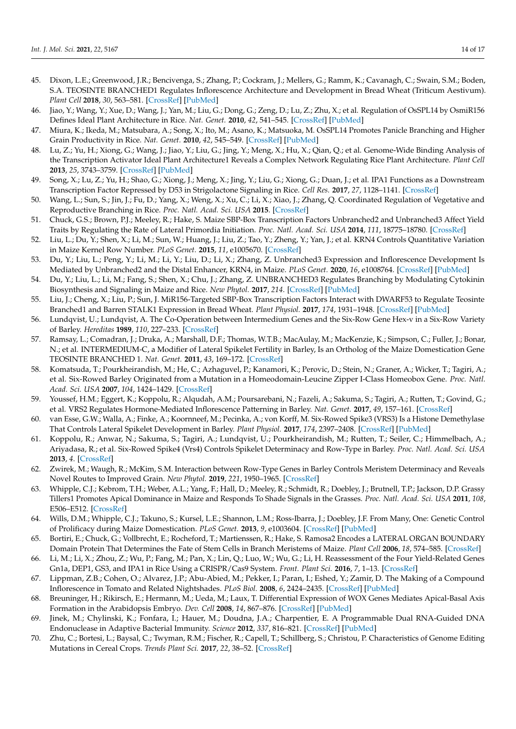- <span id="page-13-0"></span>45. Dixon, L.E.; Greenwood, J.R.; Bencivenga, S.; Zhang, P.; Cockram, J.; Mellers, G.; Ramm, K.; Cavanagh, C.; Swain, S.M.; Boden, S.A. TEOSINTE BRANCHED1 Regulates Inflorescence Architecture and Development in Bread Wheat (Triticum Aestivum). *Plant Cell* **2018**, *30*, 563–581. [\[CrossRef\]](http://doi.org/10.1105/tpc.17.00961) [\[PubMed\]](http://www.ncbi.nlm.nih.gov/pubmed/29444813)
- <span id="page-13-1"></span>46. Jiao, Y.; Wang, Y.; Xue, D.; Wang, J.; Yan, M.; Liu, G.; Dong, G.; Zeng, D.; Lu, Z.; Zhu, X.; et al. Regulation of OsSPL14 by OsmiR156 Defines Ideal Plant Architecture in Rice. *Nat. Genet.* **2010**, *42*, 541–545. [\[CrossRef\]](http://doi.org/10.1038/ng.591) [\[PubMed\]](http://www.ncbi.nlm.nih.gov/pubmed/20495565)
- <span id="page-13-3"></span>47. Miura, K.; Ikeda, M.; Matsubara, A.; Song, X.; Ito, M.; Asano, K.; Matsuoka, M. OsSPL14 Promotes Panicle Branching and Higher Grain Productivity in Rice. *Nat. Genet.* **2010**, *42*, 545–549. [\[CrossRef\]](http://doi.org/10.1038/ng.592) [\[PubMed\]](http://www.ncbi.nlm.nih.gov/pubmed/20495564)
- <span id="page-13-2"></span>48. Lu, Z.; Yu, H.; Xiong, G.; Wang, J.; Jiao, Y.; Liu, G.; Jing, Y.; Meng, X.; Hu, X.; Qian, Q.; et al. Genome-Wide Binding Analysis of the Transcription Activator Ideal Plant Architecture1 Reveals a Complex Network Regulating Rice Plant Architecture. *Plant Cell* **2013**, *25*, 3743–3759. [\[CrossRef\]](http://doi.org/10.1105/tpc.113.113639) [\[PubMed\]](http://www.ncbi.nlm.nih.gov/pubmed/24170127)
- <span id="page-13-4"></span>49. Song, X.; Lu, Z.; Yu, H.; Shao, G.; Xiong, J.; Meng, X.; Jing, Y.; Liu, G.; Xiong, G.; Duan, J.; et al. IPA1 Functions as a Downstream Transcription Factor Repressed by D53 in Strigolactone Signaling in Rice. *Cell Res.* **2017**, *27*, 1128–1141. [\[CrossRef\]](http://doi.org/10.1038/cr.2017.102)
- <span id="page-13-5"></span>50. Wang, L.; Sun, S.; Jin, J.; Fu, D.; Yang, X.; Weng, X.; Xu, C.; Li, X.; Xiao, J.; Zhang, Q. Coordinated Regulation of Vegetative and Reproductive Branching in Rice. *Proc. Natl. Acad. Sci. USA* **2015**. [\[CrossRef\]](http://doi.org/10.1073/pnas.1521949112)
- <span id="page-13-6"></span>51. Chuck, G.S.; Brown, P.J.; Meeley, R.; Hake, S. Maize SBP-Box Transcription Factors Unbranched2 and Unbranched3 Affect Yield Traits by Regulating the Rate of Lateral Primordia Initiation. *Proc. Natl. Acad. Sci. USA* **2014**, *111*, 18775–18780. [\[CrossRef\]](http://doi.org/10.1073/pnas.1407401112)
- <span id="page-13-7"></span>52. Liu, L.; Du, Y.; Shen, X.; Li, M.; Sun, W.; Huang, J.; Liu, Z.; Tao, Y.; Zheng, Y.; Yan, J.; et al. KRN4 Controls Quantitative Variation in Maize Kernel Row Number. *PLoS Genet.* **2015**, *11*, e1005670. [\[CrossRef\]](http://doi.org/10.1371/journal.pgen.1005670)
- <span id="page-13-8"></span>53. Du, Y.; Liu, L.; Peng, Y.; Li, M.; Li, Y.; Liu, D.; Li, X.; Zhang, Z. Unbranched3 Expression and Inflorescence Development Is Mediated by Unbranched2 and the Distal Enhancer, KRN4, in Maize. *PLoS Genet.* **2020**, *16*, e1008764. [\[CrossRef\]](http://doi.org/10.1371/journal.pgen.1008764) [\[PubMed\]](http://www.ncbi.nlm.nih.gov/pubmed/32330129)
- <span id="page-13-9"></span>54. Du, Y.; Liu, L.; Li, M.; Fang, S.; Shen, X.; Chu, J.; Zhang, Z. UNBRANCHED3 Regulates Branching by Modulating Cytokinin Biosynthesis and Signaling in Maize and Rice. *New Phytol.* **2017**, *214*. [\[CrossRef\]](http://doi.org/10.1111/nph.14391) [\[PubMed\]](http://www.ncbi.nlm.nih.gov/pubmed/28040882)
- <span id="page-13-10"></span>55. Liu, J.; Cheng, X.; Liu, P.; Sun, J. MiR156-Targeted SBP-Box Transcription Factors Interact with DWARF53 to Regulate Teosinte Branched1 and Barren STALK1 Expression in Bread Wheat. *Plant Physiol.* **2017**, *174*, 1931–1948. [\[CrossRef\]](http://doi.org/10.1104/pp.17.00445) [\[PubMed\]](http://www.ncbi.nlm.nih.gov/pubmed/28526703)
- <span id="page-13-11"></span>56. Lundqvist, U.; Lundqvist, A. The Co-Operation between Intermedium Genes and the Six-Row Gene Hex-v in a Six-Row Variety of Barley. *Hereditas* **1989**, *110*, 227–233. [\[CrossRef\]](http://doi.org/10.1111/j.1601-5223.1989.tb00785.x)
- <span id="page-13-12"></span>57. Ramsay, L.; Comadran, J.; Druka, A.; Marshall, D.F.; Thomas, W.T.B.; MacAulay, M.; MacKenzie, K.; Simpson, C.; Fuller, J.; Bonar, N.; et al. INTERMEDIUM-C, a Modifier of Lateral Spikelet Fertility in Barley, Is an Ortholog of the Maize Domestication Gene TEOSINTE BRANCHED 1. *Nat. Genet.* **2011**, *43*, 169–172. [\[CrossRef\]](http://doi.org/10.1038/ng.745)
- <span id="page-13-13"></span>58. Komatsuda, T.; Pourkheirandish, M.; He, C.; Azhaguvel, P.; Kanamori, K.; Perovic, D.; Stein, N.; Graner, A.; Wicker, T.; Tagiri, A.; et al. Six-Rowed Barley Originated from a Mutation in a Homeodomain-Leucine Zipper I-Class Homeobox Gene. *Proc. Natl. Acad. Sci. USA* **2007**, *104*, 1424–1429. [\[CrossRef\]](http://doi.org/10.1073/pnas.0608580104)
- <span id="page-13-14"></span>59. Youssef, H.M.; Eggert, K.; Koppolu, R.; Alqudah, A.M.; Poursarebani, N.; Fazeli, A.; Sakuma, S.; Tagiri, A.; Rutten, T.; Govind, G.; et al. VRS2 Regulates Hormone-Mediated Inflorescence Patterning in Barley. *Nat. Genet.* **2017**, *49*, 157–161. [\[CrossRef\]](http://doi.org/10.1038/ng.3717)
- <span id="page-13-15"></span>60. van Esse, G.W.; Walla, A.; Finke, A.; Koornneef, M.; Pecinka, A.; von Korff, M. Six-Rowed Spike3 (VRS3) Is a Histone Demethylase That Controls Lateral Spikelet Development in Barley. *Plant Physiol.* **2017**, *174*, 2397–2408. [\[CrossRef\]](http://doi.org/10.1104/pp.17.00108) [\[PubMed\]](http://www.ncbi.nlm.nih.gov/pubmed/28655778)
- <span id="page-13-16"></span>61. Koppolu, R.; Anwar, N.; Sakuma, S.; Tagiri, A.; Lundqvist, U.; Pourkheirandish, M.; Rutten, T.; Seiler, C.; Himmelbach, A.; Ariyadasa, R.; et al. Six-Rowed Spike4 (Vrs4) Controls Spikelet Determinacy and Row-Type in Barley. *Proc. Natl. Acad. Sci. USA* **2013**, *4*. [\[CrossRef\]](http://doi.org/10.1073/pnas.1221950110)
- <span id="page-13-17"></span>62. Zwirek, M.; Waugh, R.; McKim, S.M. Interaction between Row-Type Genes in Barley Controls Meristem Determinacy and Reveals Novel Routes to Improved Grain. *New Phytol.* **2019**, *221*, 1950–1965. [\[CrossRef\]](http://doi.org/10.1111/nph.15548)
- <span id="page-13-18"></span>63. Whipple, C.J.; Kebrom, T.H.; Weber, A.L.; Yang, F.; Hall, D.; Meeley, R.; Schmidt, R.; Doebley, J.; Brutnell, T.P.; Jackson, D.P. Grassy Tillers1 Promotes Apical Dominance in Maize and Responds To Shade Signals in the Grasses. *Proc. Natl. Acad. Sci. USA* **2011**, *108*, E506–E512. [\[CrossRef\]](http://doi.org/10.1073/pnas.1102819108)
- <span id="page-13-19"></span>64. Wills, D.M.; Whipple, C.J.; Takuno, S.; Kursel, L.E.; Shannon, L.M.; Ross-Ibarra, J.; Doebley, J.F. From Many, One: Genetic Control of Prolificacy during Maize Domestication. *PLoS Genet.* **2013**, *9*, e1003604. [\[CrossRef\]](http://doi.org/10.1371/journal.pgen.1003604) [\[PubMed\]](http://www.ncbi.nlm.nih.gov/pubmed/23825971)
- <span id="page-13-20"></span>65. Bortiri, E.; Chuck, G.; Vollbrecht, E.; Rocheford, T.; Martienssen, R.; Hake, S. Ramosa2 Encodes a LATERAL ORGAN BOUNDARY Domain Protein That Determines the Fate of Stem Cells in Branch Meristems of Maize. *Plant Cell* **2006**, *18*, 574–585. [\[CrossRef\]](http://doi.org/10.1105/tpc.105.039032)
- <span id="page-13-21"></span>66. Li, M.; Li, X.; Zhou, Z.; Wu, P.; Fang, M.; Pan, X.; Lin, Q.; Luo, W.; Wu, G.; Li, H. Reassessment of the Four Yield-Related Genes Gn1a, DEP1, GS3, and IPA1 in Rice Using a CRISPR/Cas9 System. *Front. Plant Sci.* **2016**, *7*, 1–13. [\[CrossRef\]](http://doi.org/10.3389/fpls.2016.00377)
- <span id="page-13-22"></span>67. Lippman, Z.B.; Cohen, O.; Alvarez, J.P.; Abu-Abied, M.; Pekker, I.; Paran, I.; Eshed, Y.; Zamir, D. The Making of a Compound Inflorescence in Tomato and Related Nightshades. *PLoS Biol.* **2008**, *6*, 2424–2435. [\[CrossRef\]](http://doi.org/10.1371/journal.pbio.0060288) [\[PubMed\]](http://www.ncbi.nlm.nih.gov/pubmed/19018664)
- <span id="page-13-23"></span>68. Breuninger, H.; Rikirsch, E.; Hermann, M.; Ueda, M.; Laux, T. Differential Expression of WOX Genes Mediates Apical-Basal Axis Formation in the Arabidopsis Embryo. *Dev. Cell* **2008**, *14*, 867–876. [\[CrossRef\]](http://doi.org/10.1016/j.devcel.2008.03.008) [\[PubMed\]](http://www.ncbi.nlm.nih.gov/pubmed/18539115)
- <span id="page-13-24"></span>69. Jinek, M.; Chylinski, K.; Fonfara, I.; Hauer, M.; Doudna, J.A.; Charpentier, E. A Programmable Dual RNA-Guided DNA Endonuclease in Adaptive Bacterial Immunity. *Science* **2012**, *337*, 816–821. [\[CrossRef\]](http://doi.org/10.1126/science.1225829) [\[PubMed\]](http://www.ncbi.nlm.nih.gov/pubmed/22745249)
- <span id="page-13-25"></span>70. Zhu, C.; Bortesi, L.; Baysal, C.; Twyman, R.M.; Fischer, R.; Capell, T.; Schillberg, S.; Christou, P. Characteristics of Genome Editing Mutations in Cereal Crops. *Trends Plant Sci.* **2017**, *22*, 38–52. [\[CrossRef\]](http://doi.org/10.1016/j.tplants.2016.08.009)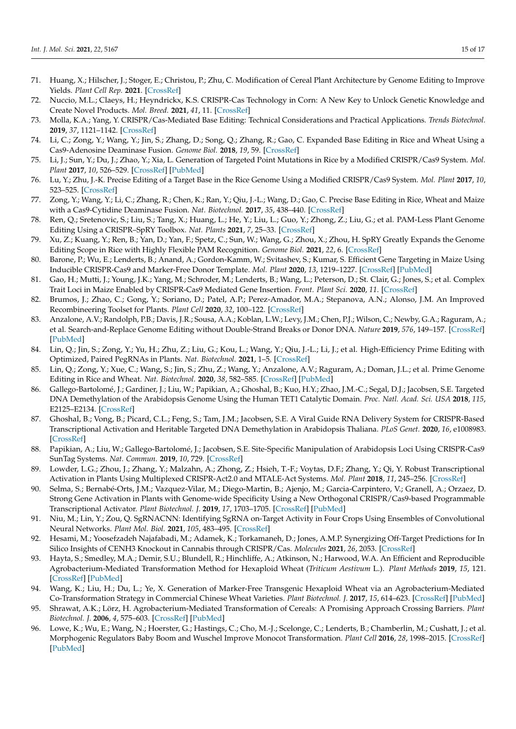- <span id="page-14-0"></span>71. Huang, X.; Hilscher, J.; Stoger, E.; Christou, P.; Zhu, C. Modification of Cereal Plant Architecture by Genome Editing to Improve Yields. *Plant Cell Rep.* **2021**. [\[CrossRef\]](http://doi.org/10.1007/s00299-021-02668-7)
- <span id="page-14-1"></span>72. Nuccio, M.L.; Claeys, H.; Heyndrickx, K.S. CRISPR-Cas Technology in Corn: A New Key to Unlock Genetic Knowledge and Create Novel Products. *Mol. Breed.* **2021**, *41*, 11. [\[CrossRef\]](http://doi.org/10.1007/s11032-021-01200-9)
- <span id="page-14-2"></span>73. Molla, K.A.; Yang, Y. CRISPR/Cas-Mediated Base Editing: Technical Considerations and Practical Applications. *Trends Biotechnol.* **2019**, *37*, 1121–1142. [\[CrossRef\]](http://doi.org/10.1016/j.tibtech.2019.03.008)
- <span id="page-14-3"></span>74. Li, C.; Zong, Y.; Wang, Y.; Jin, S.; Zhang, D.; Song, Q.; Zhang, R.; Gao, C. Expanded Base Editing in Rice and Wheat Using a Cas9-Adenosine Deaminase Fusion. *Genome Biol.* **2018**, *19*, 59. [\[CrossRef\]](http://doi.org/10.1186/s13059-018-1443-z)
- 75. Li, J.; Sun, Y.; Du, J.; Zhao, Y.; Xia, L. Generation of Targeted Point Mutations in Rice by a Modified CRISPR/Cas9 System. *Mol. Plant* **2017**, *10*, 526–529. [\[CrossRef\]](http://doi.org/10.1016/j.molp.2016.12.001) [\[PubMed\]](http://www.ncbi.nlm.nih.gov/pubmed/27940306)
- 76. Lu, Y.; Zhu, J.-K. Precise Editing of a Target Base in the Rice Genome Using a Modified CRISPR/Cas9 System. *Mol. Plant* **2017**, *10*, 523–525. [\[CrossRef\]](http://doi.org/10.1016/j.molp.2016.11.013)
- <span id="page-14-4"></span>77. Zong, Y.; Wang, Y.; Li, C.; Zhang, R.; Chen, K.; Ran, Y.; Qiu, J.-L.; Wang, D.; Gao, C. Precise Base Editing in Rice, Wheat and Maize with a Cas9-Cytidine Deaminase Fusion. *Nat. Biotechnol.* **2017**, *35*, 438–440. [\[CrossRef\]](http://doi.org/10.1038/nbt.3811)
- <span id="page-14-5"></span>78. Ren, Q.; Sretenovic, S.; Liu, S.; Tang, X.; Huang, L.; He, Y.; Liu, L.; Guo, Y.; Zhong, Z.; Liu, G.; et al. PAM-Less Plant Genome Editing Using a CRISPR–SpRY Toolbox. *Nat. Plants* **2021**, *7*, 25–33. [\[CrossRef\]](http://doi.org/10.1038/s41477-020-00827-4)
- <span id="page-14-6"></span>79. Xu, Z.; Kuang, Y.; Ren, B.; Yan, D.; Yan, F.; Spetz, C.; Sun, W.; Wang, G.; Zhou, X.; Zhou, H. SpRY Greatly Expands the Genome Editing Scope in Rice with Highly Flexible PAM Recognition. *Genome Biol.* **2021**, *22*, 6. [\[CrossRef\]](http://doi.org/10.1186/s13059-020-02231-9)
- <span id="page-14-7"></span>80. Barone, P.; Wu, E.; Lenderts, B.; Anand, A.; Gordon-Kamm, W.; Svitashev, S.; Kumar, S. Efficient Gene Targeting in Maize Using Inducible CRISPR-Cas9 and Marker-Free Donor Template. *Mol. Plant* **2020**, *13*, 1219–1227. [\[CrossRef\]](http://doi.org/10.1016/j.molp.2020.06.008) [\[PubMed\]](http://www.ncbi.nlm.nih.gov/pubmed/32574856)
- <span id="page-14-8"></span>81. Gao, H.; Mutti, J.; Young, J.K.; Yang, M.; Schroder, M.; Lenderts, B.; Wang, L.; Peterson, D.; St. Clair, G.; Jones, S.; et al. Complex Trait Loci in Maize Enabled by CRISPR-Cas9 Mediated Gene Insertion. *Front. Plant Sci.* **2020**, *11*. [\[CrossRef\]](http://doi.org/10.3389/fpls.2020.00535)
- <span id="page-14-9"></span>82. Brumos, J.; Zhao, C.; Gong, Y.; Soriano, D.; Patel, A.P.; Perez-Amador, M.A.; Stepanova, A.N.; Alonso, J.M. An Improved Recombineering Toolset for Plants. *Plant Cell* **2020**, *32*, 100–122. [\[CrossRef\]](http://doi.org/10.1105/tpc.19.00431)
- <span id="page-14-10"></span>83. Anzalone, A.V.; Randolph, P.B.; Davis, J.R.; Sousa, A.A.; Koblan, L.W.; Levy, J.M.; Chen, P.J.; Wilson, C.; Newby, G.A.; Raguram, A.; et al. Search-and-Replace Genome Editing without Double-Strand Breaks or Donor DNA. *Nature* **2019**, *576*, 149–157. [\[CrossRef\]](http://doi.org/10.1038/s41586-019-1711-4) [\[PubMed\]](http://www.ncbi.nlm.nih.gov/pubmed/31634902)
- <span id="page-14-11"></span>84. Lin, Q.; Jin, S.; Zong, Y.; Yu, H.; Zhu, Z.; Liu, G.; Kou, L.; Wang, Y.; Qiu, J.-L.; Li, J.; et al. High-Efficiency Prime Editing with Optimized, Paired PegRNAs in Plants. *Nat. Biotechnol.* **2021**, 1–5. [\[CrossRef\]](http://doi.org/10.1038/s41587-021-00868-w)
- <span id="page-14-12"></span>85. Lin, Q.; Zong, Y.; Xue, C.; Wang, S.; Jin, S.; Zhu, Z.; Wang, Y.; Anzalone, A.V.; Raguram, A.; Doman, J.L.; et al. Prime Genome Editing in Rice and Wheat. *Nat. Biotechnol.* **2020**, *38*, 582–585. [\[CrossRef\]](http://doi.org/10.1038/s41587-020-0455-x) [\[PubMed\]](http://www.ncbi.nlm.nih.gov/pubmed/32393904)
- <span id="page-14-13"></span>86. Gallego-Bartolomé, J.; Gardiner, J.; Liu, W.; Papikian, A.; Ghoshal, B.; Kuo, H.Y.; Zhao, J.M.-C.; Segal, D.J.; Jacobsen, S.E. Targeted DNA Demethylation of the Arabidopsis Genome Using the Human TET1 Catalytic Domain. *Proc. Natl. Acad. Sci. USA* **2018**, *115*, E2125–E2134. [\[CrossRef\]](http://doi.org/10.1073/pnas.1716945115)
- 87. Ghoshal, B.; Vong, B.; Picard, C.L.; Feng, S.; Tam, J.M.; Jacobsen, S.E. A Viral Guide RNA Delivery System for CRISPR-Based Transcriptional Activation and Heritable Targeted DNA Demethylation in Arabidopsis Thaliana. *PLoS Genet.* **2020**, *16*, e1008983. [\[CrossRef\]](http://doi.org/10.1371/journal.pgen.1008983)
- <span id="page-14-14"></span>88. Papikian, A.; Liu, W.; Gallego-Bartolomé, J.; Jacobsen, S.E. Site-Specific Manipulation of Arabidopsis Loci Using CRISPR-Cas9 SunTag Systems. *Nat. Commun.* **2019**, *10*, 729. [\[CrossRef\]](http://doi.org/10.1038/s41467-019-08736-7)
- <span id="page-14-15"></span>89. Lowder, L.G.; Zhou, J.; Zhang, Y.; Malzahn, A.; Zhong, Z.; Hsieh, T.-F.; Voytas, D.F.; Zhang, Y.; Qi, Y. Robust Transcriptional Activation in Plants Using Multiplexed CRISPR-Act2.0 and MTALE-Act Systems. *Mol. Plant* **2018**, *11*, 245–256. [\[CrossRef\]](http://doi.org/10.1016/j.molp.2017.11.010)
- <span id="page-14-16"></span>90. Selma, S.; Bernabé-Orts, J.M.; Vazquez-Vilar, M.; Diego-Martin, B.; Ajenjo, M.; Garcia-Carpintero, V.; Granell, A.; Orzaez, D. Strong Gene Activation in Plants with Genome-wide Specificity Using a New Orthogonal CRISPR/Cas9-based Programmable Transcriptional Activator. *Plant Biotechnol. J.* **2019**, *17*, 1703–1705. [\[CrossRef\]](http://doi.org/10.1111/pbi.13138) [\[PubMed\]](http://www.ncbi.nlm.nih.gov/pubmed/31034138)
- <span id="page-14-17"></span>91. Niu, M.; Lin, Y.; Zou, Q. SgRNACNN: Identifying SgRNA on-Target Activity in Four Crops Using Ensembles of Convolutional Neural Networks. *Plant Mol. Biol.* **2021**, *105*, 483–495. [\[CrossRef\]](http://doi.org/10.1007/s11103-020-01102-y)
- <span id="page-14-18"></span>92. Hesami, M.; Yoosefzadeh Najafabadi, M.; Adamek, K.; Torkamaneh, D.; Jones, A.M.P. Synergizing Off-Target Predictions for In Silico Insights of CENH3 Knockout in Cannabis through CRISPR/Cas. *Molecules* **2021**, *26*, 2053. [\[CrossRef\]](http://doi.org/10.3390/molecules26072053)
- <span id="page-14-19"></span>93. Hayta, S.; Smedley, M.A.; Demir, S.U.; Blundell, R.; Hinchliffe, A.; Atkinson, N.; Harwood, W.A. An Efficient and Reproducible Agrobacterium-Mediated Transformation Method for Hexaploid Wheat (*Triticum Aestivum* L.). *Plant Methods* **2019**, *15*, 121. [\[CrossRef\]](http://doi.org/10.1186/s13007-019-0503-z) [\[PubMed\]](http://www.ncbi.nlm.nih.gov/pubmed/31673278)
- 94. Wang, K.; Liu, H.; Du, L.; Ye, X. Generation of Marker-Free Transgenic Hexaploid Wheat via an Agrobacterium-Mediated Co-Transformation Strategy in Commercial Chinese Wheat Varieties. *Plant Biotechnol. J.* **2017**, *15*, 614–623. [\[CrossRef\]](http://doi.org/10.1111/pbi.12660) [\[PubMed\]](http://www.ncbi.nlm.nih.gov/pubmed/27862820)
- <span id="page-14-20"></span>95. Shrawat, A.K.; Lörz, H. Agrobacterium-Mediated Transformation of Cereals: A Promising Approach Crossing Barriers. *Plant Biotechnol. J.* **2006**, *4*, 575–603. [\[CrossRef\]](http://doi.org/10.1111/j.1467-7652.2006.00209.x) [\[PubMed\]](http://www.ncbi.nlm.nih.gov/pubmed/17309731)
- <span id="page-14-21"></span>96. Lowe, K.; Wu, E.; Wang, N.; Hoerster, G.; Hastings, C.; Cho, M.-J.; Scelonge, C.; Lenderts, B.; Chamberlin, M.; Cushatt, J.; et al. Morphogenic Regulators Baby Boom and Wuschel Improve Monocot Transformation. *Plant Cell* **2016**, *28*, 1998–2015. [\[CrossRef\]](http://doi.org/10.1105/tpc.16.00124) [\[PubMed\]](http://www.ncbi.nlm.nih.gov/pubmed/27600536)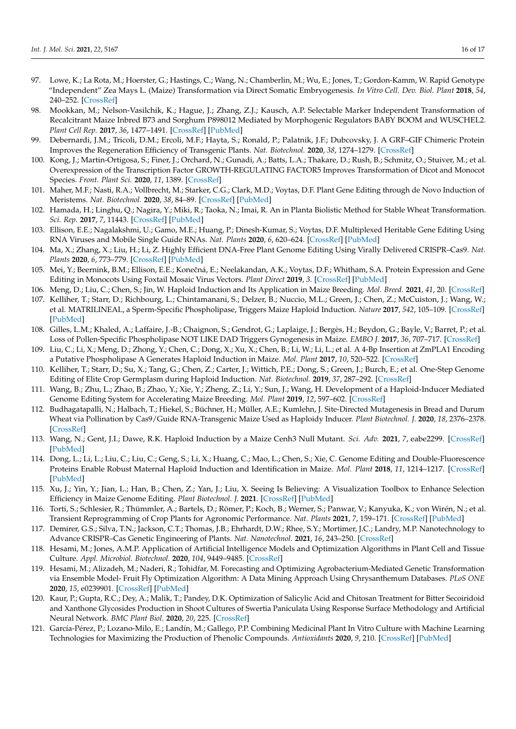- 97. Lowe, K.; La Rota, M.; Hoerster, G.; Hastings, C.; Wang, N.; Chamberlin, M.; Wu, E.; Jones, T.; Gordon-Kamm, W. Rapid Genotype "Independent" Zea Mays L. (Maize) Transformation via Direct Somatic Embryogenesis. *In Vitro Cell. Dev. Biol. Plant* **2018**, *54*, 240–252. [\[CrossRef\]](http://doi.org/10.1007/s11627-018-9905-2)
- <span id="page-15-0"></span>98. Mookkan, M.; Nelson-Vasilchik, K.; Hague, J.; Zhang, Z.J.; Kausch, A.P. Selectable Marker Independent Transformation of Recalcitrant Maize Inbred B73 and Sorghum P898012 Mediated by Morphogenic Regulators BABY BOOM and WUSCHEL2. *Plant Cell Rep.* **2017**, *36*, 1477–1491. [\[CrossRef\]](http://doi.org/10.1007/s00299-017-2169-1) [\[PubMed\]](http://www.ncbi.nlm.nih.gov/pubmed/28681159)
- <span id="page-15-1"></span>99. Debernardi, J.M.; Tricoli, D.M.; Ercoli, M.F.; Hayta, S.; Ronald, P.; Palatnik, J.F.; Dubcovsky, J. A GRF–GIF Chimeric Protein Improves the Regeneration Efficiency of Transgenic Plants. *Nat. Biotechnol.* **2020**, *38*, 1274–1279. [\[CrossRef\]](http://doi.org/10.1038/s41587-020-0703-0)
- <span id="page-15-2"></span>100. Kong, J.; Martin-Ortigosa, S.; Finer, J.; Orchard, N.; Gunadi, A.; Batts, L.A.; Thakare, D.; Rush, B.; Schmitz, O.; Stuiver, M.; et al. Overexpression of the Transcription Factor GROWTH-REGULATING FACTOR5 Improves Transformation of Dicot and Monocot Species. *Front. Plant Sci.* **2020**, *11*, 1389. [\[CrossRef\]](http://doi.org/10.3389/fpls.2020.572319)
- <span id="page-15-3"></span>101. Maher, M.F.; Nasti, R.A.; Vollbrecht, M.; Starker, C.G.; Clark, M.D.; Voytas, D.F. Plant Gene Editing through de Novo Induction of Meristems. *Nat. Biotechnol.* **2020**, *38*, 84–89. [\[CrossRef\]](http://doi.org/10.1038/s41587-019-0337-2) [\[PubMed\]](http://www.ncbi.nlm.nih.gov/pubmed/31844292)
- <span id="page-15-4"></span>102. Hamada, H.; Linghu, Q.; Nagira, Y.; Miki, R.; Taoka, N.; Imai, R. An in Planta Biolistic Method for Stable Wheat Transformation. *Sci. Rep.* **2017**, *7*, 11443. [\[CrossRef\]](http://doi.org/10.1038/s41598-017-11936-0) [\[PubMed\]](http://www.ncbi.nlm.nih.gov/pubmed/28904403)
- <span id="page-15-5"></span>103. Ellison, E.E.; Nagalakshmi, U.; Gamo, M.E.; Huang, P.; Dinesh-Kumar, S.; Voytas, D.F. Multiplexed Heritable Gene Editing Using RNA Viruses and Mobile Single Guide RNAs. *Nat. Plants* **2020**, *6*, 620–624. [\[CrossRef\]](http://doi.org/10.1038/s41477-020-0670-y) [\[PubMed\]](http://www.ncbi.nlm.nih.gov/pubmed/32483329)
- <span id="page-15-6"></span>104. Ma, X.; Zhang, X.; Liu, H.; Li, Z. Highly Efficient DNA-Free Plant Genome Editing Using Virally Delivered CRISPR–Cas9. *Nat. Plants* **2020**, *6*, 773–779. [\[CrossRef\]](http://doi.org/10.1038/s41477-020-0704-5) [\[PubMed\]](http://www.ncbi.nlm.nih.gov/pubmed/32601419)
- <span id="page-15-7"></span>105. Mei, Y.; Beernink, B.M.; Ellison, E.E.; Konečná, E.; Neelakandan, A.K.; Voytas, D.F.; Whitham, S.A. Protein Expression and Gene Editing in Monocots Using Foxtail Mosaic Virus Vectors. *Plant Direct* **2019**, *3*. [\[CrossRef\]](http://doi.org/10.1002/pld3.181) [\[PubMed\]](http://www.ncbi.nlm.nih.gov/pubmed/31768497)
- <span id="page-15-8"></span>106. Meng, D.; Liu, C.; Chen, S.; Jin, W. Haploid Induction and Its Application in Maize Breeding. *Mol. Breed.* **2021**, *41*, 20. [\[CrossRef\]](http://doi.org/10.1007/s11032-021-01204-5)
- <span id="page-15-9"></span>107. Kelliher, T.; Starr, D.; Richbourg, L.; Chintamanani, S.; Delzer, B.; Nuccio, M.L.; Green, J.; Chen, Z.; McCuiston, J.; Wang, W.; et al. MATRILINEAL, a Sperm-Specific Phospholipase, Triggers Maize Haploid Induction. *Nature* **2017**, *542*, 105–109. [\[CrossRef\]](http://doi.org/10.1038/nature20827) [\[PubMed\]](http://www.ncbi.nlm.nih.gov/pubmed/28114299)
- 108. Gilles, L.M.; Khaled, A.; Laffaire, J.-B.; Chaignon, S.; Gendrot, G.; Laplaige, J.; Bergès, H.; Beydon, G.; Bayle, V.; Barret, P.; et al. Loss of Pollen-Specific Phospholipase NOT LIKE DAD Triggers Gynogenesis in Maize. *EMBO J.* **2017**, *36*, 707–717. [\[CrossRef\]](http://doi.org/10.15252/embj.201796603)
- <span id="page-15-10"></span>109. Liu, C.; Li, X.; Meng, D.; Zhong, Y.; Chen, C.; Dong, X.; Xu, X.; Chen, B.; Li, W.; Li, L.; et al. A 4-Bp Insertion at ZmPLA1 Encoding a Putative Phospholipase A Generates Haploid Induction in Maize. *Mol. Plant* **2017**, *10*, 520–522. [\[CrossRef\]](http://doi.org/10.1016/j.molp.2017.01.011)
- <span id="page-15-11"></span>110. Kelliher, T.; Starr, D.; Su, X.; Tang, G.; Chen, Z.; Carter, J.; Wittich, P.E.; Dong, S.; Green, J.; Burch, E.; et al. One-Step Genome Editing of Elite Crop Germplasm during Haploid Induction. *Nat. Biotechnol.* **2019**, *37*, 287–292. [\[CrossRef\]](http://doi.org/10.1038/s41587-019-0038-x)
- <span id="page-15-12"></span>111. Wang, B.; Zhu, L.; Zhao, B.; Zhao, Y.; Xie, Y.; Zheng, Z.; Li, Y.; Sun, J.; Wang, H. Development of a Haploid-Inducer Mediated Genome Editing System for Accelerating Maize Breeding. *Mol. Plant* **2019**, *12*, 597–602. [\[CrossRef\]](http://doi.org/10.1016/j.molp.2019.03.006)
- <span id="page-15-13"></span>112. Budhagatapalli, N.; Halbach, T.; Hiekel, S.; Büchner, H.; Müller, A.E.; Kumlehn, J. Site-Directed Mutagenesis in Bread and Durum Wheat via Pollination by Cas9/Guide RNA-Transgenic Maize Used as Haploidy Inducer. *Plant Biotechnol. J.* **2020**, *18*, 2376–2378. [\[CrossRef\]](http://doi.org/10.1111/pbi.13415)
- <span id="page-15-14"></span>113. Wang, N.; Gent, J.I.; Dawe, R.K. Haploid Induction by a Maize Cenh3 Null Mutant. *Sci. Adv.* **2021**, *7*, eabe2299. [\[CrossRef\]](http://doi.org/10.1126/sciadv.abe2299) [\[PubMed\]](http://www.ncbi.nlm.nih.gov/pubmed/33523932)
- <span id="page-15-15"></span>114. Dong, L.; Li, L.; Liu, C.; Liu, C.; Geng, S.; Li, X.; Huang, C.; Mao, L.; Chen, S.; Xie, C. Genome Editing and Double-Fluorescence Proteins Enable Robust Maternal Haploid Induction and Identification in Maize. *Mol. Plant* **2018**, *11*, 1214–1217. [\[CrossRef\]](http://doi.org/10.1016/j.molp.2018.06.011) [\[PubMed\]](http://www.ncbi.nlm.nih.gov/pubmed/30010025)
- <span id="page-15-16"></span>115. Xu, J.; Yin, Y.; Jian, L.; Han, B.; Chen, Z.; Yan, J.; Liu, X. Seeing Is Believing: A Visualization Toolbox to Enhance Selection Efficiency in Maize Genome Editing. *Plant Biotechnol. J.* **2021**. [\[CrossRef\]](http://doi.org/10.1111/pbi.13575) [\[PubMed\]](http://www.ncbi.nlm.nih.gov/pubmed/33660393)
- <span id="page-15-17"></span>116. Torti, S.; Schlesier, R.; Thümmler, A.; Bartels, D.; Römer, P.; Koch, B.; Werner, S.; Panwar, V.; Kanyuka, K.; von Wirén, N.; et al. Transient Reprogramming of Crop Plants for Agronomic Performance. *Nat. Plants* **2021**, *7*, 159–171. [\[CrossRef\]](http://doi.org/10.1038/s41477-021-00851-y) [\[PubMed\]](http://www.ncbi.nlm.nih.gov/pubmed/33594264)
- 117. Demirer, G.S.; Silva, T.N.; Jackson, C.T.; Thomas, J.B.; Ehrhardt, D.W.; Rhee, S.Y.; Mortimer, J.C.; Landry, M.P. Nanotechnology to Advance CRISPR–Cas Genetic Engineering of Plants. *Nat. Nanotechnol.* **2021**, *16*, 243–250. [\[CrossRef\]](http://doi.org/10.1038/s41565-021-00854-y)
- 118. Hesami, M.; Jones, A.M.P. Application of Artificial Intelligence Models and Optimization Algorithms in Plant Cell and Tissue Culture. *Appl. Microbiol. Biotechnol.* **2020**, *104*, 9449–9485. [\[CrossRef\]](http://doi.org/10.1007/s00253-020-10888-2)
- 119. Hesami, M.; Alizadeh, M.; Naderi, R.; Tohidfar, M. Forecasting and Optimizing Agrobacterium-Mediated Genetic Transformation via Ensemble Model- Fruit Fly Optimization Algorithm: A Data Mining Approach Using Chrysanthemum Databases. *PLoS ONE* **2020**, *15*, e0239901. [\[CrossRef\]](http://doi.org/10.1371/journal.pone.0239901) [\[PubMed\]](http://www.ncbi.nlm.nih.gov/pubmed/32997694)
- 120. Kaur, P.; Gupta, R.C.; Dey, A.; Malik, T.; Pandey, D.K. Optimization of Salicylic Acid and Chitosan Treatment for Bitter Secoiridoid and Xanthone Glycosides Production in Shoot Cultures of Swertia Paniculata Using Response Surface Methodology and Artificial Neural Network. *BMC Plant Biol.* **2020**, *20*, 225. [\[CrossRef\]](http://doi.org/10.1186/s12870-020-02410-7)
- <span id="page-15-18"></span>121. García-Pérez, P.; Lozano-Milo, E.; Landín, M.; Gallego, P.P. Combining Medicinal Plant In Vitro Culture with Machine Learning Technologies for Maximizing the Production of Phenolic Compounds. *Antioxidants* **2020**, *9*, 210. [\[CrossRef\]](http://doi.org/10.3390/antiox9030210) [\[PubMed\]](http://www.ncbi.nlm.nih.gov/pubmed/32143282)